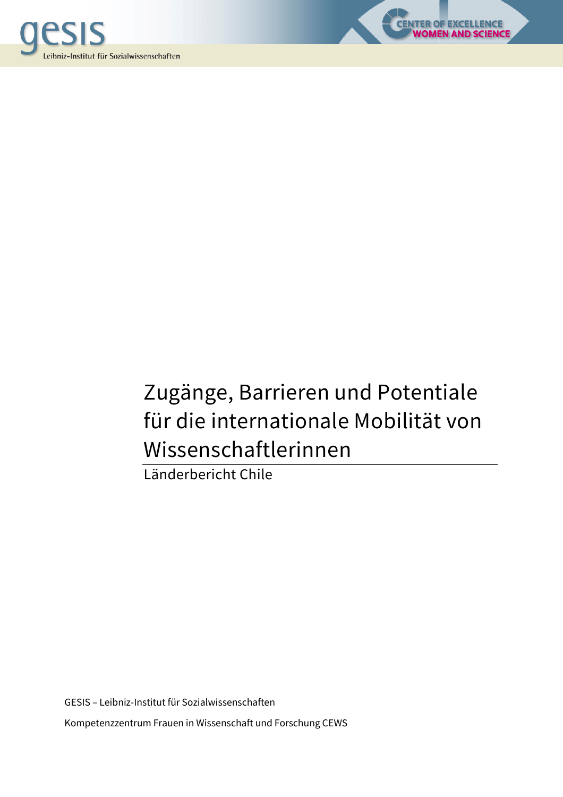



LENCE<br>S<mark>CIENCE</mark>

Länderbericht Chile

GESIS – Leibniz-Institut für Sozialwissenschaften Kompetenzzentrum Frauen in Wissenschaft und Forschung CEWS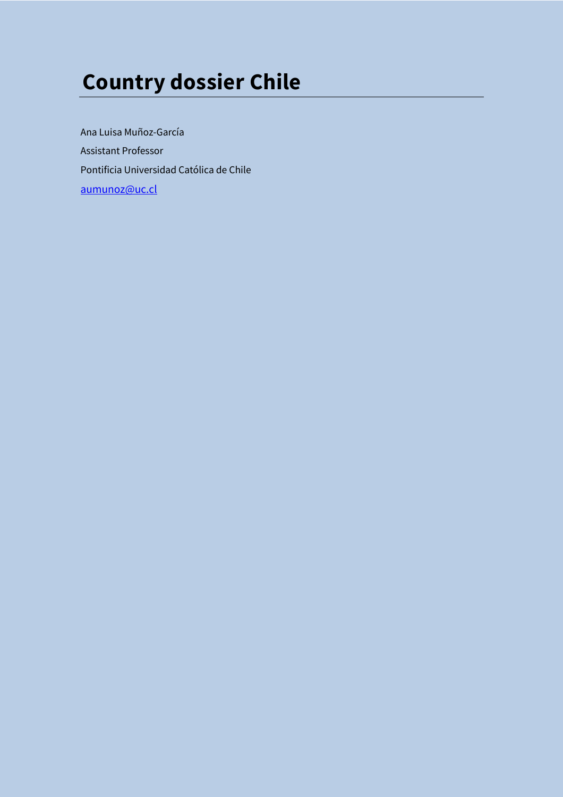# **Country dossier Chile**

Ana Luisa Muñoz-García Assistant Professor Pontificia Universidad Católica de Chile aumunoz@uc.cl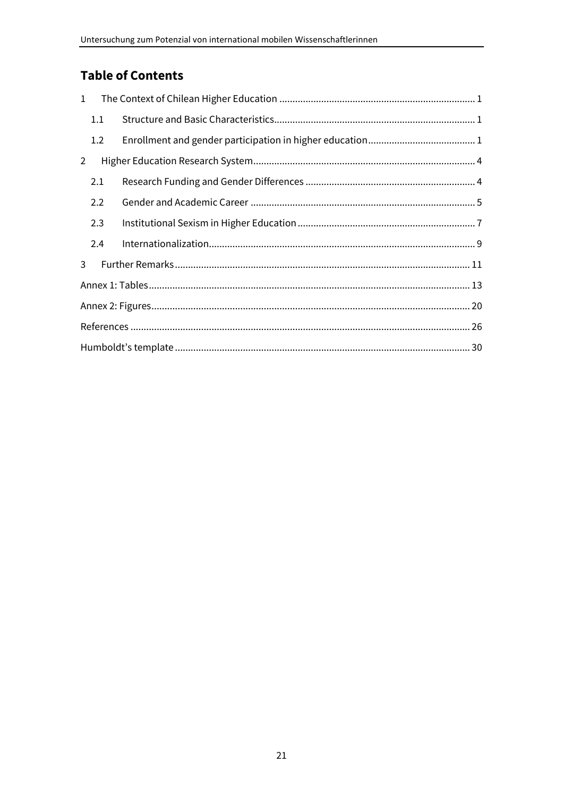# **Table of Contents**

| $\mathbf{1}$   |     |  |
|----------------|-----|--|
|                | 1.1 |  |
|                | 1.2 |  |
| $\overline{2}$ |     |  |
|                | 2.1 |  |
|                | 2.2 |  |
|                | 2.3 |  |
|                | 2.4 |  |
| 3              |     |  |
|                |     |  |
|                |     |  |
|                |     |  |
|                |     |  |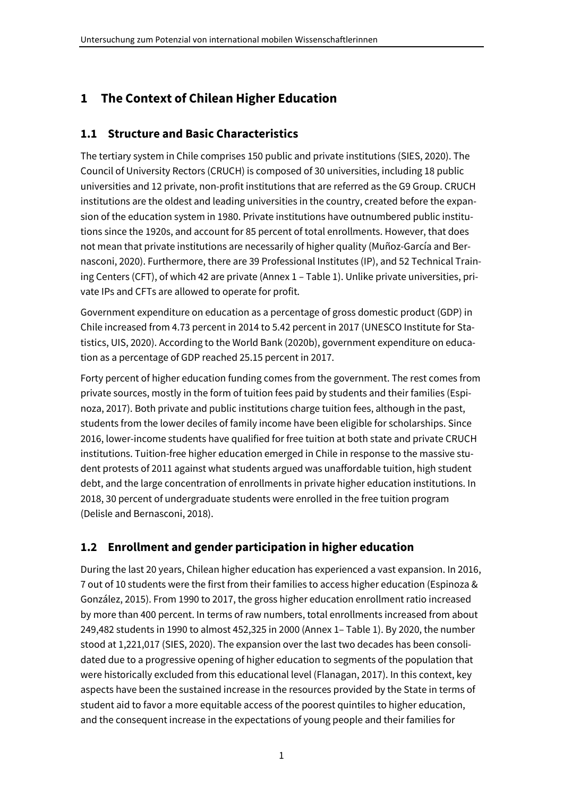# **1 The Context of Chilean Higher Education**

### **1.1 Structure and Basic Characteristics**

The tertiary system in Chile comprises 150 public and private institutions (SIES, 2020). The Council of University Rectors (CRUCH) is composed of 30 universities, including 18 public universities and 12 private, non-profit institutions that are referred as the G9 Group. CRUCH institutions are the oldest and leading universities in the country, created before the expansion of the education system in 1980. Private institutions have outnumbered public institutions since the 1920s, and account for 85 percent of total enrollments. However, that does not mean that private institutions are necessarily of higher quality (Muñoz-García and Bernasconi, 2020). Furthermore, there are 39 Professional Institutes (IP), and 52 Technical Training Centers (CFT), of which 42 are private (Annex 1 – Table 1). Unlike private universities, private IPs and CFTs are allowed to operate for profit.

Government expenditure on education as a percentage of gross domestic product (GDP) in Chile increased from 4.73 percent in 2014 to 5.42 percent in 2017 (UNESCO Institute for Statistics, UIS, 2020). According to the World Bank (2020b), government expenditure on education as a percentage of GDP reached 25.15 percent in 2017.

Forty percent of higher education funding comes from the government. The rest comes from private sources, mostly in the form of tuition fees paid by students and their families (Espinoza, 2017). Both private and public institutions charge tuition fees, although in the past, students from the lower deciles of family income have been eligible for scholarships. Since 2016, lower-income students have qualified for free tuition at both state and private CRUCH institutions. Tuition-free higher education emerged in Chile in response to the massive student protests of 2011 against what students argued was unaffordable tuition, high student debt, and the large concentration of enrollments in private higher education institutions. In 2018, 30 percent of undergraduate students were enrolled in the free tuition program (Delisle and Bernasconi, 2018).

# **1.2 Enrollment and gender participation in higher education**

During the last 20 years, Chilean higher education has experienced a vast expansion. In 2016, 7 out of 10 students were the first from their families to access higher education (Espinoza & González, 2015). From 1990 to 2017, the gross higher education enrollment ratio increased by more than 400 percent. In terms of raw numbers, total enrollments increased from about 249,482 students in 1990 to almost 452,325 in 2000 (Annex 1– Table 1). By 2020, the number stood at 1,221,017 (SIES, 2020). The expansion over the last two decades has been consolidated due to a progressive opening of higher education to segments of the population that were historically excluded from this educational level (Flanagan, 2017). In this context, key aspects have been the sustained increase in the resources provided by the State in terms of student aid to favor a more equitable access of the poorest quintiles to higher education, and the consequent increase in the expectations of young people and their families for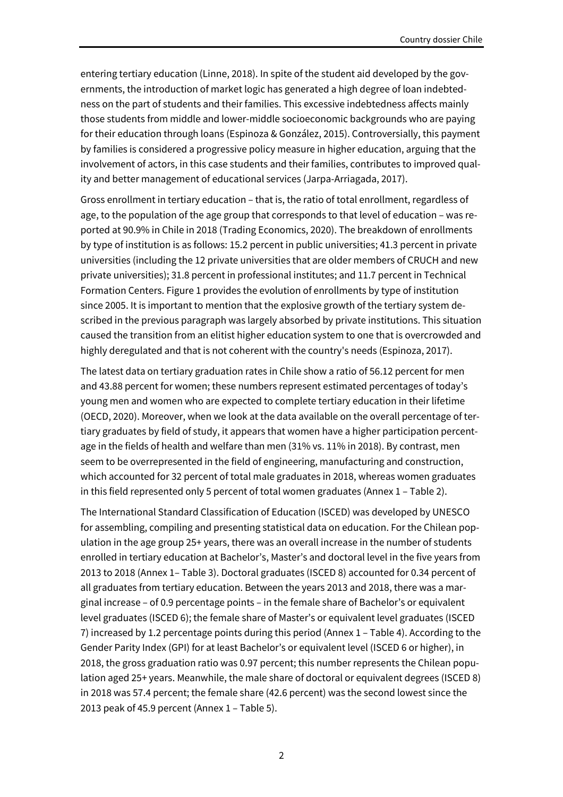entering tertiary education (Linne, 2018). In spite of the student aid developed by the governments, the introduction of market logic has generated a high degree of loan indebtedness on the part of students and their families. This excessive indebtedness affects mainly those students from middle and lower-middle socioeconomic backgrounds who are paying for their education through loans (Espinoza & González, 2015). Controversially, this payment by families is considered a progressive policy measure in higher education, arguing that the involvement of actors, in this case students and their families, contributes to improved quality and better management of educational services (Jarpa-Arriagada, 2017).

Gross enrollment in tertiary education – that is, the ratio of total enrollment, regardless of age, to the population of the age group that corresponds to that level of education – was reported at 90.9% in Chile in 2018 (Trading Economics, 2020). The breakdown of enrollments by type of institution is as follows: 15.2 percent in public universities; 41.3 percent in private universities (including the 12 private universities that are older members of CRUCH and new private universities); 31.8 percent in professional institutes; and 11.7 percent in Technical Formation Centers. Figure 1 provides the evolution of enrollments by type of institution since 2005. It is important to mention that the explosive growth of the tertiary system described in the previous paragraph was largely absorbed by private institutions. This situation caused the transition from an elitist higher education system to one that is overcrowded and highly deregulated and that is not coherent with the country's needs (Espinoza, 2017).

The latest data on tertiary graduation rates in Chile show a ratio of 56.12 percent for men and 43.88 percent for women; these numbers represent estimated percentages of today's young men and women who are expected to complete tertiary education in their lifetime (OECD, 2020). Moreover, when we look at the data available on the overall percentage of tertiary graduates by field of study, it appears that women have a higher participation percentage in the fields of health and welfare than men (31% vs. 11% in 2018). By contrast, men seem to be overrepresented in the field of engineering, manufacturing and construction, which accounted for 32 percent of total male graduates in 2018, whereas women graduates in this field represented only 5 percent of total women graduates (Annex 1 – Table 2).

The International Standard Classification of Education (ISCED) was developed by UNESCO for assembling, compiling and presenting statistical data on education. For the Chilean population in the age group 25+ years, there was an overall increase in the number of students enrolled in tertiary education at Bachelor's, Master's and doctoral level in the five years from 2013 to 2018 (Annex 1– Table 3). Doctoral graduates (ISCED 8) accounted for 0.34 percent of all graduates from tertiary education. Between the years 2013 and 2018, there was a marginal increase – of 0.9 percentage points – in the female share of Bachelor's or equivalent level graduates (ISCED 6); the female share of Master's or equivalent level graduates (ISCED 7) increased by 1.2 percentage points during this period (Annex 1 – Table 4). According to the Gender Parity Index (GPI) for at least Bachelor's or equivalent level (ISCED 6 or higher), in 2018, the gross graduation ratio was 0.97 percent; this number represents the Chilean population aged 25+ years. Meanwhile, the male share of doctoral or equivalent degrees (ISCED 8) in 2018 was 57.4 percent; the female share (42.6 percent) was the second lowest since the 2013 peak of 45.9 percent (Annex 1 – Table 5).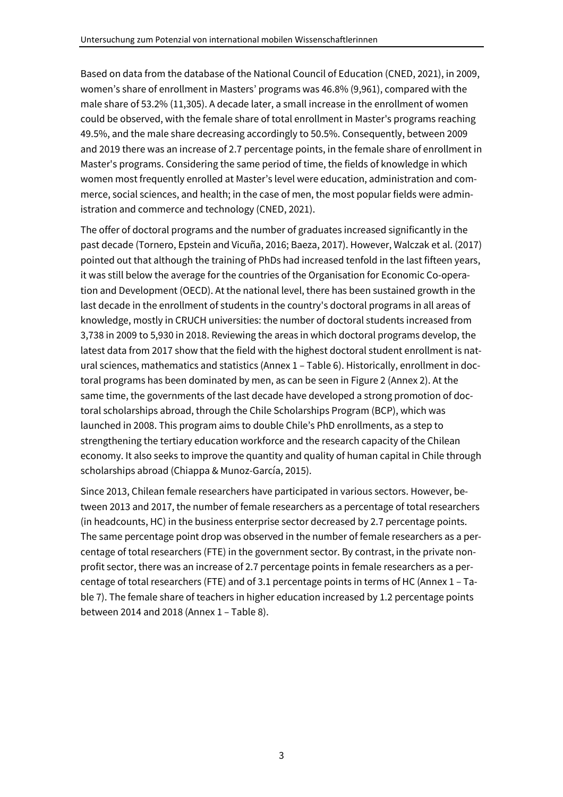Based on data from the database of the National Council of Education (CNED, 2021), in 2009, women's share of enrollment in Masters' programs was 46.8% (9,961), compared with the male share of 53.2% (11,305). A decade later, a small increase in the enrollment of women could be observed, with the female share of total enrollment in Master's programs reaching 49.5%, and the male share decreasing accordingly to 50.5%. Consequently, between 2009 and 2019 there was an increase of 2.7 percentage points, in the female share of enrollment in Master's programs. Considering the same period of time, the fields of knowledge in which women most frequently enrolled at Master's level were education, administration and commerce, social sciences, and health; in the case of men, the most popular fields were administration and commerce and technology (CNED, 2021).

The offer of doctoral programs and the number of graduates increased significantly in the past decade (Tornero, Epstein and Vicuña, 2016; Baeza, 2017). However, Walczak et al. (2017) pointed out that although the training of PhDs had increased tenfold in the last fifteen years, it was still below the average for the countries of the Organisation for Economic Co-operation and Development (OECD). At the national level, there has been sustained growth in the last decade in the enrollment of students in the country's doctoral programs in all areas of knowledge, mostly in CRUCH universities: the number of doctoral students increased from 3,738 in 2009 to 5,930 in 2018. Reviewing the areas in which doctoral programs develop, the latest data from 2017 show that the field with the highest doctoral student enrollment is natural sciences, mathematics and statistics (Annex 1 – Table 6). Historically, enrollment in doctoral programs has been dominated by men, as can be seen in Figure 2 (Annex 2). At the same time, the governments of the last decade have developed a strong promotion of doctoral scholarships abroad, through the Chile Scholarships Program (BCP), which was launched in 2008. This program aims to double Chile's PhD enrollments, as a step to strengthening the tertiary education workforce and the research capacity of the Chilean economy. It also seeks to improve the quantity and quality of human capital in Chile through scholarships abroad (Chiappa & Munoz-García, 2015).

Since 2013, Chilean female researchers have participated in various sectors. However, between 2013 and 2017, the number of female researchers as a percentage of total researchers (in headcounts, HC) in the business enterprise sector decreased by 2.7 percentage points. The same percentage point drop was observed in the number of female researchers as a percentage of total researchers (FTE) in the government sector. By contrast, in the private nonprofit sector, there was an increase of 2.7 percentage points in female researchers as a percentage of total researchers (FTE) and of 3.1 percentage points in terms of HC (Annex 1 – Table 7). The female share of teachers in higher education increased by 1.2 percentage points between 2014 and 2018 (Annex 1 – Table 8).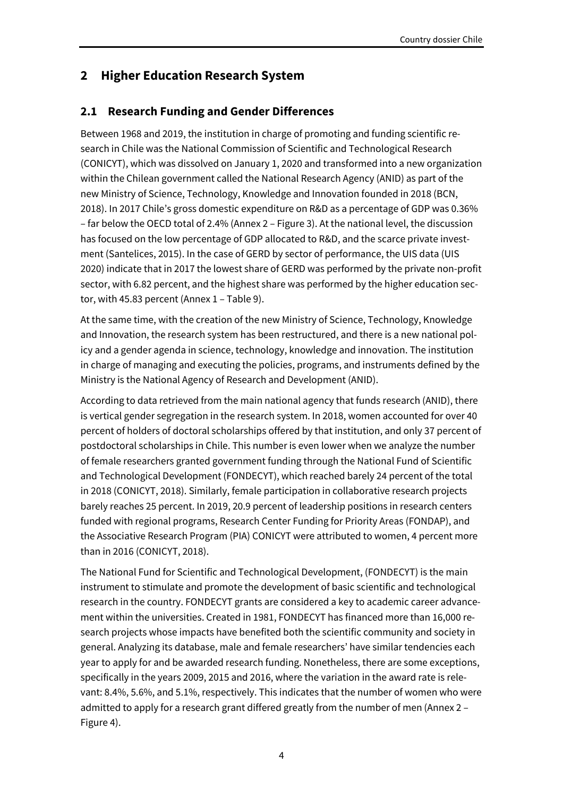# **2 Higher Education Research System**

### **2.1 Research Funding and Gender Differences**

Between 1968 and 2019, the institution in charge of promoting and funding scientific research in Chile was the National Commission of Scientific and Technological Research (CONICYT), which was dissolved on January 1, 2020 and transformed into a new organization within the Chilean government called the National Research Agency (ANID) as part of the new Ministry of Science, Technology, Knowledge and Innovation founded in 2018 (BCN, 2018). In 2017 Chile's gross domestic expenditure on R&D as a percentage of GDP was 0.36% – far below the OECD total of 2.4% (Annex 2 – Figure 3). At the national level, the discussion has focused on the low percentage of GDP allocated to R&D, and the scarce private investment (Santelices, 2015). In the case of GERD by sector of performance, the UIS data (UIS 2020) indicate that in 2017 the lowest share of GERD was performed by the private non-profit sector, with 6.82 percent, and the highest share was performed by the higher education sector, with 45.83 percent (Annex 1 – Table 9).

At the same time, with the creation of the new Ministry of Science, Technology, Knowledge and Innovation, the research system has been restructured, and there is a new national policy and a gender agenda in science, technology, knowledge and innovation. The institution in charge of managing and executing the policies, programs, and instruments defined by the Ministry is the National Agency of Research and Development (ANID).

According to data retrieved from the main national agency that funds research (ANID), there is vertical gender segregation in the research system. In 2018, women accounted for over 40 percent of holders of doctoral scholarships offered by that institution, and only 37 percent of postdoctoral scholarships in Chile. This number is even lower when we analyze the number of female researchers granted government funding through the National Fund of Scientific and Technological Development (FONDECYT), which reached barely 24 percent of the total in 2018 (CONICYT, 2018). Similarly, female participation in collaborative research projects barely reaches 25 percent. In 2019, 20.9 percent of leadership positions in research centers funded with regional programs, Research Center Funding for Priority Areas (FONDAP), and the Associative Research Program (PIA) CONICYT were attributed to women, 4 percent more than in 2016 (CONICYT, 2018).

The National Fund for Scientific and Technological Development, (FONDECYT) is the main instrument to stimulate and promote the development of basic scientific and technological research in the country. FONDECYT grants are considered a key to academic career advancement within the universities. Created in 1981, FONDECYT has financed more than 16,000 research projects whose impacts have benefited both the scientific community and society in general. Analyzing its database, male and female researchers' have similar tendencies each year to apply for and be awarded research funding. Nonetheless, there are some exceptions, specifically in the years 2009, 2015 and 2016, where the variation in the award rate is relevant: 8.4%, 5.6%, and 5.1%, respectively. This indicates that the number of women who were admitted to apply for a research grant differed greatly from the number of men (Annex 2 – Figure 4).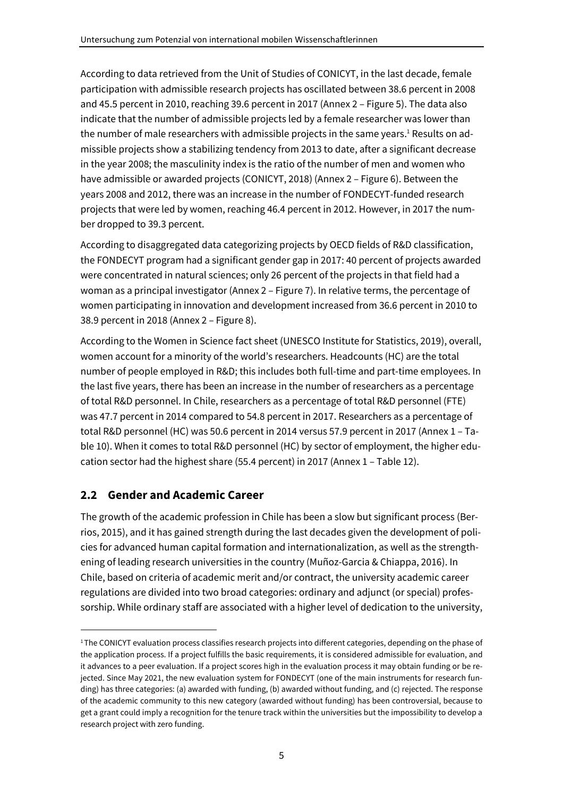According to data retrieved from the Unit of Studies of CONICYT, in the last decade, female participation with admissible research projects has oscillated between 38.6 percent in 2008 and 45.5 percent in 2010, reaching 39.6 percent in 2017 (Annex 2 – Figure 5). The data also indicate that the number of admissible projects led by a female researcher was lower than the number of male researchers with admissible projects in the same years.<sup>1</sup> Results on admissible projects show a stabilizing tendency from 2013 to date, after a significant decrease in the year 2008; the masculinity index is the ratio of the number of men and women who have admissible or awarded projects (CONICYT, 2018) (Annex 2 – Figure 6). Between the years 2008 and 2012, there was an increase in the number of FONDECYT-funded research projects that were led by women, reaching 46.4 percent in 2012. However, in 2017 the number dropped to 39.3 percent.

According to disaggregated data categorizing projects by OECD fields of R&D classification, the FONDECYT program had a significant gender gap in 2017: 40 percent of projects awarded were concentrated in natural sciences; only 26 percent of the projects in that field had a woman as a principal investigator (Annex 2 – Figure 7). In relative terms, the percentage of women participating in innovation and development increased from 36.6 percent in 2010 to 38.9 percent in 2018 (Annex 2 – Figure 8).

According to the Women in Science fact sheet (UNESCO Institute for Statistics, 2019), overall, women account for a minority of the world's researchers. Headcounts (HC) are the total number of people employed in R&D; this includes both full-time and part-time employees. In the last five years, there has been an increase in the number of researchers as a percentage of total R&D personnel. In Chile, researchers as a percentage of total R&D personnel (FTE) was 47.7 percent in 2014 compared to 54.8 percent in 2017. Researchers as a percentage of total R&D personnel (HC) was 50.6 percent in 2014 versus 57.9 percent in 2017 (Annex 1 – Table 10). When it comes to total R&D personnel (HC) by sector of employment, the higher education sector had the highest share (55.4 percent) in 2017 (Annex 1 – Table 12).

# **2.2 Gender and Academic Career**

The growth of the academic profession in Chile has been a slow but significant process (Berrios, 2015), and it has gained strength during the last decades given the development of policies for advanced human capital formation and internationalization, as well as the strengthening of leading research universities in the country (Muñoz-Garcia & Chiappa, 2016). In Chile, based on criteria of academic merit and/or contract, the university academic career regulations are divided into two broad categories: ordinary and adjunct (or special) professorship. While ordinary staff are associated with a higher level of dedication to the university,

<sup>&</sup>lt;sup>1</sup>The CONICYT evaluation process classifies research projects into different categories, depending on the phase of the application process. If a project fulfills the basic requirements, it is considered admissible for evaluation, and it advances to a peer evaluation. If a project scores high in the evaluation process it may obtain funding or be rejected. Since May 2021, the new evaluation system for FONDECYT (one of the main instruments for research funding) has three categories: (a) awarded with funding, (b) awarded without funding, and (c) rejected. The response of the academic community to this new category (awarded without funding) has been controversial, because to get a grant could imply a recognition for the tenure track within the universities but the impossibility to develop a research project with zero funding.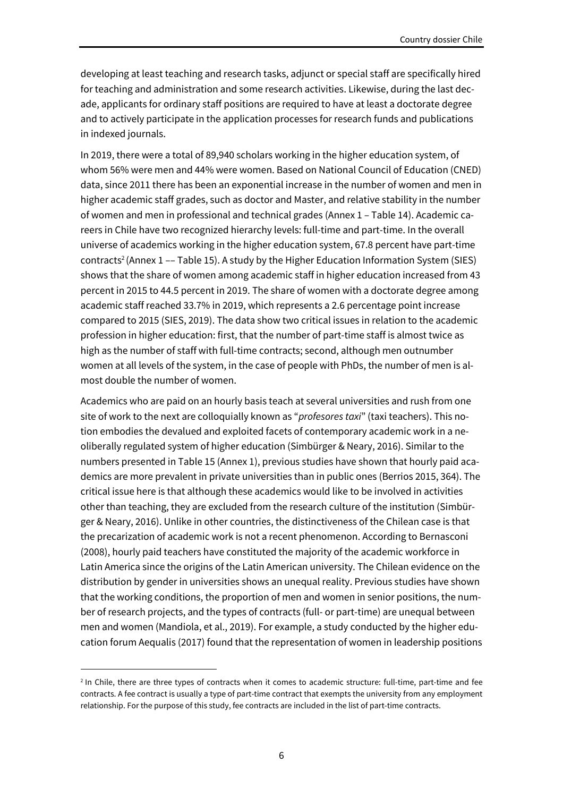developing at least teaching and research tasks, adjunct or special staff are specifically hired for teaching and administration and some research activities. Likewise, during the last decade, applicants for ordinary staff positions are required to have at least a doctorate degree and to actively participate in the application processes for research funds and publications in indexed journals.

In 2019, there were a total of 89,940 scholars working in the higher education system, of whom 56% were men and 44% were women. Based on National Council of Education (CNED) data, since 2011 there has been an exponential increase in the number of women and men in higher academic staff grades, such as doctor and Master, and relative stability in the number of women and men in professional and technical grades (Annex 1 – Table 14). Academic careers in Chile have two recognized hierarchy levels: full-time and part-time. In the overall universe of academics working in the higher education system, 67.8 percent have part-time contracts<sup>2</sup> (Annex 1 –– Table 15). A study by the Higher Education Information System (SIES) shows that the share of women among academic staff in higher education increased from 43 percent in 2015 to 44.5 percent in 2019. The share of women with a doctorate degree among academic staff reached 33.7% in 2019, which represents a 2.6 percentage point increase compared to 2015 (SIES, 2019). The data show two critical issues in relation to the academic profession in higher education: first, that the number of part-time staff is almost twice as high as the number of staff with full-time contracts; second, although men outnumber women at all levels of the system, in the case of people with PhDs, the number of men is almost double the number of women.

Academics who are paid on an hourly basis teach at several universities and rush from one site of work to the next are colloquially known as "*profesores taxi*" (taxi teachers). This notion embodies the devalued and exploited facets of contemporary academic work in a neoliberally regulated system of higher education (Simbürger & Neary, 2016). Similar to the numbers presented in Table 15 (Annex 1), previous studies have shown that hourly paid academics are more prevalent in private universities than in public ones (Berrios 2015, 364). The critical issue here is that although these academics would like to be involved in activities other than teaching, they are excluded from the research culture of the institution (Simbürger & Neary, 2016). Unlike in other countries, the distinctiveness of the Chilean case is that the precarization of academic work is not a recent phenomenon. According to Bernasconi (2008), hourly paid teachers have constituted the majority of the academic workforce in Latin America since the origins of the Latin American university. The Chilean evidence on the distribution by gender in universities shows an unequal reality. Previous studies have shown that the working conditions, the proportion of men and women in senior positions, the number of research projects, and the types of contracts (full- or part-time) are unequal between men and women (Mandiola, et al., 2019). For example, a study conducted by the higher education forum Aequalis (2017) found that the representation of women in leadership positions

<sup>2</sup> In Chile, there are three types of contracts when it comes to academic structure: full-time, part-time and fee contracts. A fee contract is usually a type of part-time contract that exempts the university from any employment relationship. For the purpose of this study, fee contracts are included in the list of part-time contracts.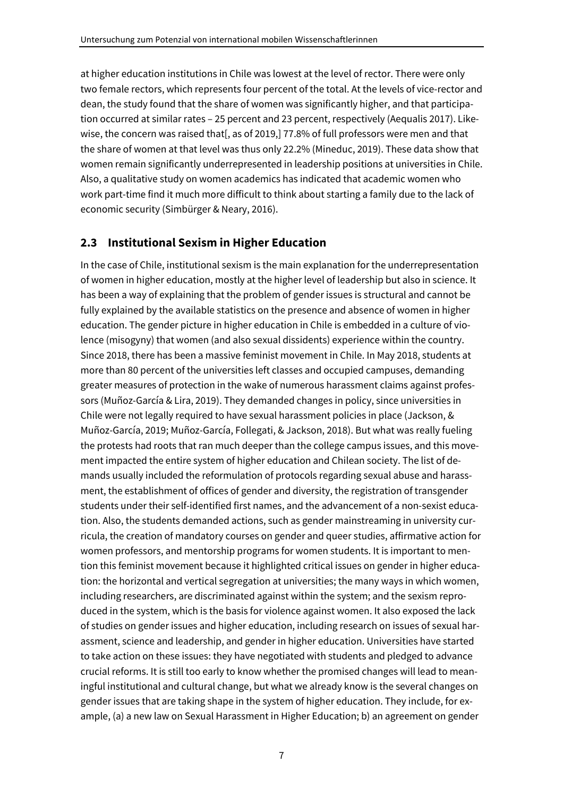at higher education institutions in Chile was lowest at the level of rector. There were only two female rectors, which represents four percent of the total. At the levels of vice-rector and dean, the study found that the share of women was significantly higher, and that participation occurred at similar rates – 25 percent and 23 percent, respectively (Aequalis 2017). Likewise, the concern was raised that[, as of 2019,] 77.8% of full professors were men and that the share of women at that level was thus only 22.2% (Mineduc, 2019). These data show that women remain significantly underrepresented in leadership positions at universities in Chile. Also, a qualitative study on women academics has indicated that academic women who work part-time find it much more difficult to think about starting a family due to the lack of economic security (Simbürger & Neary, 2016).

### **2.3 Institutional Sexism in Higher Education**

In the case of Chile, institutional sexism is the main explanation for the underrepresentation of women in higher education, mostly at the higher level of leadership but also in science. It has been a way of explaining that the problem of gender issues is structural and cannot be fully explained by the available statistics on the presence and absence of women in higher education. The gender picture in higher education in Chile is embedded in a culture of violence (misogyny) that women (and also sexual dissidents) experience within the country. Since 2018, there has been a massive feminist movement in Chile. In May 2018, students at more than 80 percent of the universities left classes and occupied campuses, demanding greater measures of protection in the wake of numerous harassment claims against professors (Muñoz-García & Lira, 2019). They demanded changes in policy, since universities in Chile were not legally required to have sexual harassment policies in place (Jackson, & Muñoz-García, 2019; Muñoz-García, Follegati, & Jackson, 2018). But what was really fueling the protests had roots that ran much deeper than the college campus issues, and this movement impacted the entire system of higher education and Chilean society. The list of demands usually included the reformulation of protocols regarding sexual abuse and harassment, the establishment of offices of gender and diversity, the registration of transgender students under their self-identified first names, and the advancement of a non-sexist education. Also, the students demanded actions, such as gender mainstreaming in university curricula, the creation of mandatory courses on gender and queer studies, affirmative action for women professors, and mentorship programs for women students. It is important to mention this feminist movement because it highlighted critical issues on gender in higher education: the horizontal and vertical segregation at universities; the many ways in which women, including researchers, are discriminated against within the system; and the sexism reproduced in the system, which is the basis for violence against women. It also exposed the lack of studies on gender issues and higher education, including research on issues of sexual harassment, science and leadership, and gender in higher education. Universities have started to take action on these issues: they have negotiated with students and pledged to advance crucial reforms. It is still too early to know whether the promised changes will lead to meaningful institutional and cultural change, but what we already know is the several changes on gender issues that are taking shape in the system of higher education. They include, for example, (a) a new law on Sexual Harassment in Higher Education; b) an agreement on gender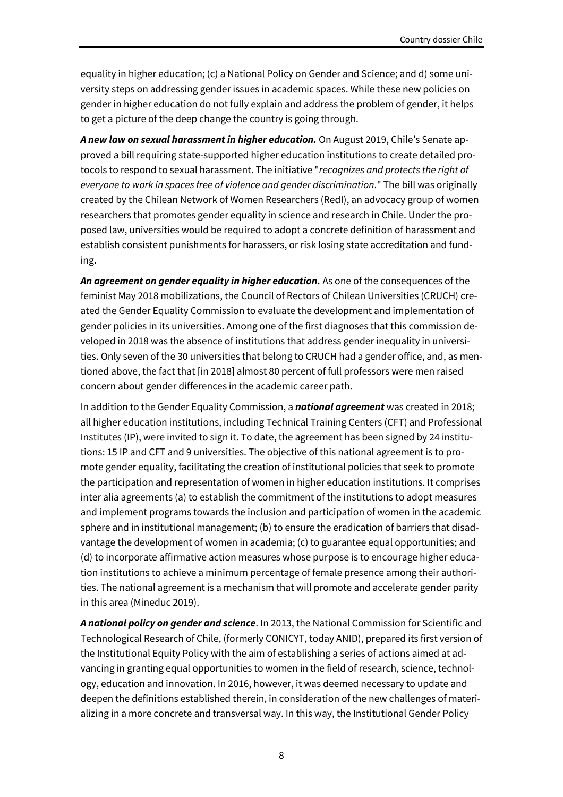equality in higher education; (c) a National Policy on Gender and Science; and d) some university steps on addressing gender issues in academic spaces. While these new policies on gender in higher education do not fully explain and address the problem of gender, it helps to get a picture of the deep change the country is going through.

*A new law on sexual harassment in higher education.* On August 2019, Chile's Senate approved a bill requiring state-supported higher education institutions to create detailed protocols to respond to sexual harassment. The initiative "*recognizes and protects the right of everyone to work in spaces free of violence and gender discrimination*." The bill was originally created by the Chilean Network of Women Researchers (RedI), an advocacy group of women researchers that promotes gender equality in science and research in Chile. Under the proposed law, universities would be required to adopt a concrete definition of harassment and establish consistent punishments for harassers, or risk losing state accreditation and funding.

*An agreement on gender equality in higher education.* As one of the consequences of the feminist May 2018 mobilizations, the Council of Rectors of Chilean Universities (CRUCH) created the Gender Equality Commission to evaluate the development and implementation of gender policies in its universities. Among one of the first diagnoses that this commission developed in 2018 was the absence of institutions that address gender inequality in universities. Only seven of the 30 universities that belong to CRUCH had a gender office, and, as mentioned above, the fact that [in 2018] almost 80 percent of full professors were men raised concern about gender differences in the academic career path.

In addition to the Gender Equality Commission, a *national agreement* was created in 2018; all higher education institutions, including Technical Training Centers (CFT) and Professional Institutes (IP), were invited to sign it. To date, the agreement has been signed by 24 institutions: 15 IP and CFT and 9 universities. The objective of this national agreement is to promote gender equality, facilitating the creation of institutional policies that seek to promote the participation and representation of women in higher education institutions. It comprises inter alia agreements (a) to establish the commitment of the institutions to adopt measures and implement programs towards the inclusion and participation of women in the academic sphere and in institutional management; (b) to ensure the eradication of barriers that disadvantage the development of women in academia; (c) to guarantee equal opportunities; and (d) to incorporate affirmative action measures whose purpose is to encourage higher education institutions to achieve a minimum percentage of female presence among their authorities. The national agreement is a mechanism that will promote and accelerate gender parity in this area (Mineduc 2019).

*A national policy on gender and science*. In 2013, the National Commission for Scientific and Technological Research of Chile, (formerly CONICYT, today ANID), prepared its first version of the Institutional Equity Policy with the aim of establishing a series of actions aimed at advancing in granting equal opportunities to women in the field of research, science, technology, education and innovation. In 2016, however, it was deemed necessary to update and deepen the definitions established therein, in consideration of the new challenges of materializing in a more concrete and transversal way. In this way, the Institutional Gender Policy

8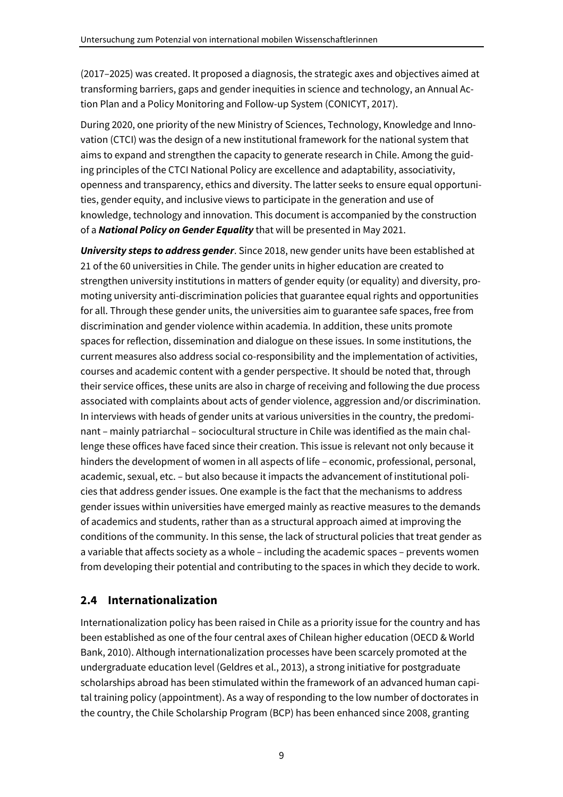(2017–2025) was created. It proposed a diagnosis, the strategic axes and objectives aimed at transforming barriers, gaps and gender inequities in science and technology, an Annual Action Plan and a Policy Monitoring and Follow-up System (CONICYT, 2017).

During 2020, one priority of the new Ministry of Sciences, Technology, Knowledge and Innovation (CTCI) was the design of a new institutional framework for the national system that aims to expand and strengthen the capacity to generate research in Chile. Among the guiding principles of the CTCI National Policy are excellence and adaptability, associativity, openness and transparency, ethics and diversity. The latter seeks to ensure equal opportunities, gender equity, and inclusive views to participate in the generation and use of knowledge, technology and innovation. This document is accompanied by the construction of a *National Policy on Gender Equality* that will be presented in May 2021.

*University steps to address gender*. Since 2018, new gender units have been established at 21 of the 60 universities in Chile. The gender units in higher education are created to strengthen university institutions in matters of gender equity (or equality) and diversity, promoting university anti-discrimination policies that guarantee equal rights and opportunities for all. Through these gender units, the universities aim to guarantee safe spaces, free from discrimination and gender violence within academia. In addition, these units promote spaces for reflection, dissemination and dialogue on these issues. In some institutions, the current measures also address social co-responsibility and the implementation of activities, courses and academic content with a gender perspective. It should be noted that, through their service offices, these units are also in charge of receiving and following the due process associated with complaints about acts of gender violence, aggression and/or discrimination. In interviews with heads of gender units at various universities in the country, the predominant – mainly patriarchal – sociocultural structure in Chile was identified as the main challenge these offices have faced since their creation. This issue is relevant not only because it hinders the development of women in all aspects of life – economic, professional, personal, academic, sexual, etc. – but also because it impacts the advancement of institutional policies that address gender issues. One example is the fact that the mechanisms to address gender issues within universities have emerged mainly as reactive measures to the demands of academics and students, rather than as a structural approach aimed at improving the conditions of the community. In this sense, the lack of structural policies that treat gender as a variable that affects society as a whole – including the academic spaces – prevents women from developing their potential and contributing to the spaces in which they decide to work.

# **2.4 Internationalization**

Internationalization policy has been raised in Chile as a priority issue for the country and has been established as one of the four central axes of Chilean higher education (OECD & World Bank, 2010). Although internationalization processes have been scarcely promoted at the undergraduate education level (Geldres et al., 2013), a strong initiative for postgraduate scholarships abroad has been stimulated within the framework of an advanced human capital training policy (appointment). As a way of responding to the low number of doctorates in the country, the Chile Scholarship Program (BCP) has been enhanced since 2008, granting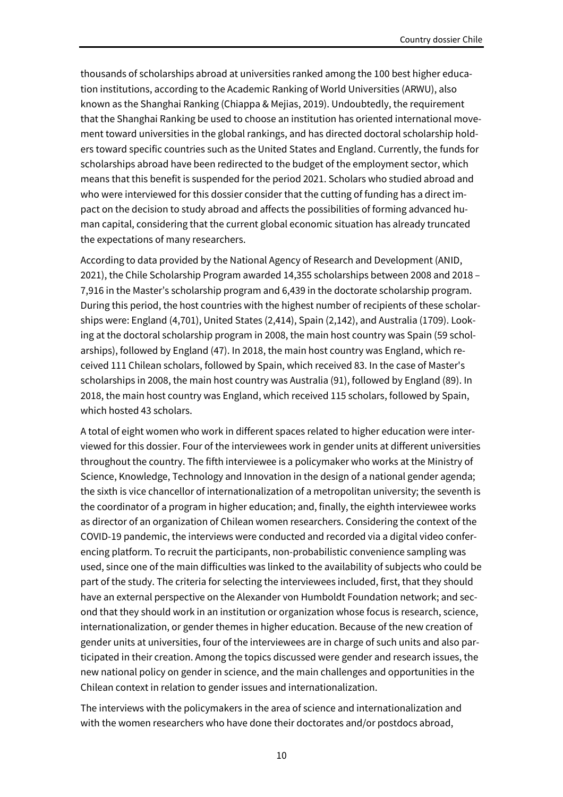thousands of scholarships abroad at universities ranked among the 100 best higher education institutions, according to the Academic Ranking of World Universities (ARWU), also known as the Shanghai Ranking (Chiappa & Mejias, 2019). Undoubtedly, the requirement that the Shanghai Ranking be used to choose an institution has oriented international movement toward universities in the global rankings, and has directed doctoral scholarship holders toward specific countries such as the United States and England. Currently, the funds for scholarships abroad have been redirected to the budget of the employment sector, which means that this benefit is suspended for the period 2021. Scholars who studied abroad and who were interviewed for this dossier consider that the cutting of funding has a direct impact on the decision to study abroad and affects the possibilities of forming advanced human capital, considering that the current global economic situation has already truncated the expectations of many researchers.

According to data provided by the National Agency of Research and Development (ANID, 2021), the Chile Scholarship Program awarded 14,355 scholarships between 2008 and 2018 – 7,916 in the Master's scholarship program and 6,439 in the doctorate scholarship program. During this period, the host countries with the highest number of recipients of these scholarships were: England (4,701), United States (2,414), Spain (2,142), and Australia (1709). Looking at the doctoral scholarship program in 2008, the main host country was Spain (59 scholarships), followed by England (47). In 2018, the main host country was England, which received 111 Chilean scholars, followed by Spain, which received 83. In the case of Master's scholarships in 2008, the main host country was Australia (91), followed by England (89). In 2018, the main host country was England, which received 115 scholars, followed by Spain, which hosted 43 scholars.

A total of eight women who work in different spaces related to higher education were interviewed for this dossier. Four of the interviewees work in gender units at different universities throughout the country. The fifth interviewee is a policymaker who works at the Ministry of Science, Knowledge, Technology and Innovation in the design of a national gender agenda; the sixth is vice chancellor of internationalization of a metropolitan university; the seventh is the coordinator of a program in higher education; and, finally, the eighth interviewee works as director of an organization of Chilean women researchers. Considering the context of the COVID-19 pandemic, the interviews were conducted and recorded via a digital video conferencing platform. To recruit the participants, non-probabilistic convenience sampling was used, since one of the main difficulties was linked to the availability of subjects who could be part of the study. The criteria for selecting the interviewees included, first, that they should have an external perspective on the Alexander von Humboldt Foundation network; and second that they should work in an institution or organization whose focus is research, science, internationalization, or gender themes in higher education. Because of the new creation of gender units at universities, four of the interviewees are in charge of such units and also participated in their creation. Among the topics discussed were gender and research issues, the new national policy on gender in science, and the main challenges and opportunities in the Chilean context in relation to gender issues and internationalization.

The interviews with the policymakers in the area of science and internationalization and with the women researchers who have done their doctorates and/or postdocs abroad,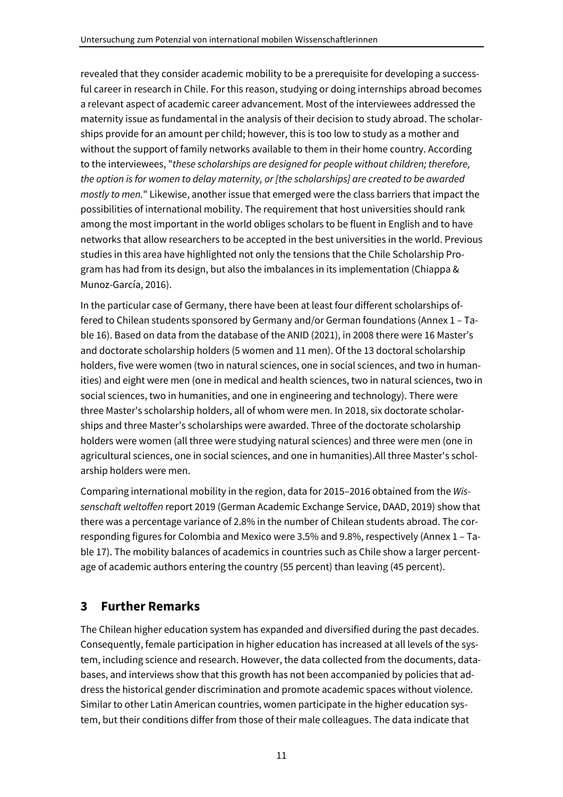revealed that they consider academic mobility to be a prerequisite for developing a successful career in research in Chile. For this reason, studying or doing internships abroad becomes a relevant aspect of academic career advancement. Most of the interviewees addressed the maternity issue as fundamental in the analysis of their decision to study abroad. The scholarships provide for an amount per child; however, this is too low to study as a mother and without the support of family networks available to them in their home country. According to the interviewees, "*these scholarships are designed for people without children; therefore, the option is for women to delay maternity, or [the scholarships] are created to be awarded mostly to men.*" Likewise, another issue that emerged were the class barriers that impact the possibilities of international mobility. The requirement that host universities should rank among the most important in the world obliges scholars to be fluent in English and to have networks that allow researchers to be accepted in the best universities in the world. Previous studies in this area have highlighted not only the tensions that the Chile Scholarship Program has had from its design, but also the imbalances in its implementation (Chiappa & Munoz-García, 2016).

In the particular case of Germany, there have been at least four different scholarships offered to Chilean students sponsored by Germany and/or German foundations (Annex 1 – Table 16). Based on data from the database of the ANID (2021), in 2008 there were 16 Master's and doctorate scholarship holders (5 women and 11 men). Of the 13 doctoral scholarship holders, five were women (two in natural sciences, one in social sciences, and two in humanities) and eight were men (one in medical and health sciences, two in natural sciences, two in social sciences, two in humanities, and one in engineering and technology). There were three Master's scholarship holders, all of whom were men. In 2018, six doctorate scholarships and three Master's scholarships were awarded. Three of the doctorate scholarship holders were women (all three were studying natural sciences) and three were men (one in agricultural sciences, one in social sciences, and one in humanities).All three Master's scholarship holders were men.

Comparing international mobility in the region, data for 2015–2016 obtained from the *Wissenschaft weltoffen* report 2019 (German Academic Exchange Service, DAAD, 2019) show that there was a percentage variance of 2.8% in the number of Chilean students abroad. The corresponding figures for Colombia and Mexico were 3.5% and 9.8%, respectively (Annex 1 – Table 17). The mobility balances of academics in countries such as Chile show a larger percentage of academic authors entering the country (55 percent) than leaving (45 percent).

# **3 Further Remarks**

The Chilean higher education system has expanded and diversified during the past decades. Consequently, female participation in higher education has increased at all levels of the system, including science and research. However, the data collected from the documents, databases, and interviews show that this growth has not been accompanied by policies that address the historical gender discrimination and promote academic spaces without violence. Similar to other Latin American countries, women participate in the higher education system, but their conditions differ from those of their male colleagues. The data indicate that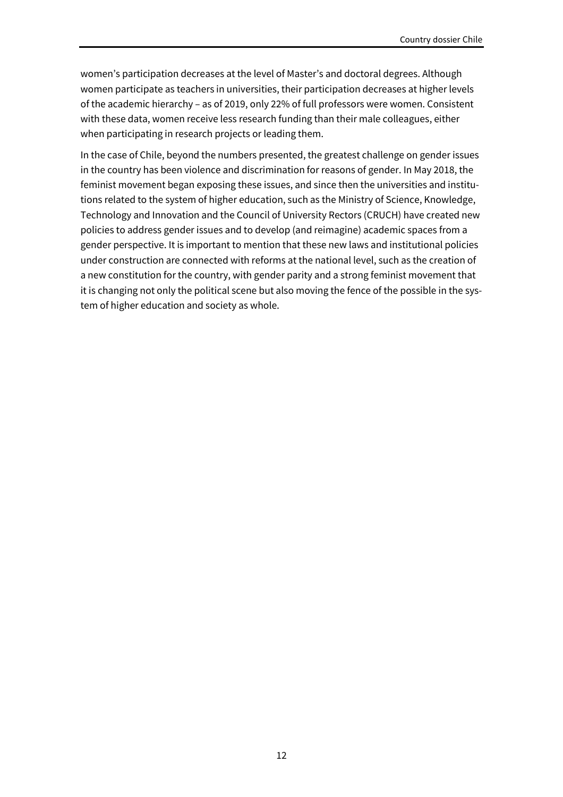women's participation decreases at the level of Master's and doctoral degrees. Although women participate as teachers in universities, their participation decreases at higher levels of the academic hierarchy – as of 2019, only 22% of full professors were women. Consistent with these data, women receive less research funding than their male colleagues, either when participating in research projects or leading them.

In the case of Chile, beyond the numbers presented, the greatest challenge on gender issues in the country has been violence and discrimination for reasons of gender. In May 2018, the feminist movement began exposing these issues, and since then the universities and institutions related to the system of higher education, such as the Ministry of Science, Knowledge, Technology and Innovation and the Council of University Rectors (CRUCH) have created new policies to address gender issues and to develop (and reimagine) academic spaces from a gender perspective. It is important to mention that these new laws and institutional policies under construction are connected with reforms at the national level, such as the creation of a new constitution for the country, with gender parity and a strong feminist movement that it is changing not only the political scene but also moving the fence of the possible in the system of higher education and society as whole.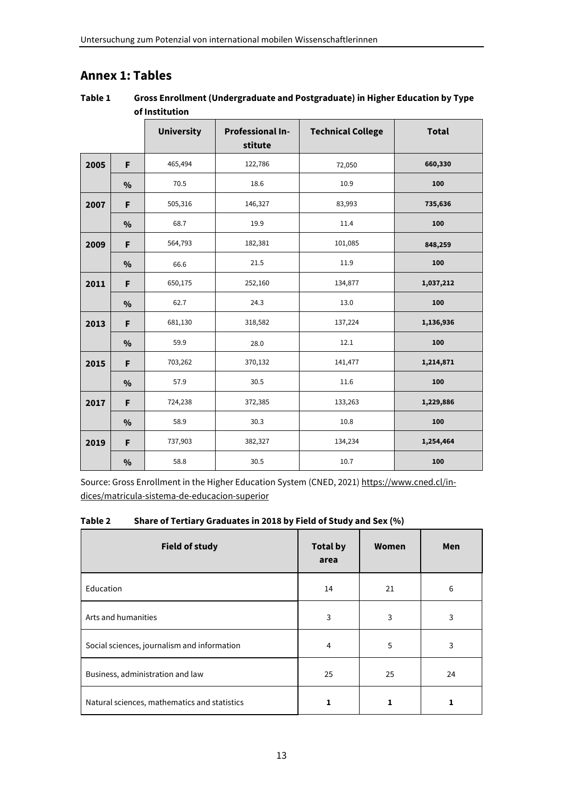# **Annex 1: Tables**

#### **Table 1 Gross Enrollment (Undergraduate and Postgraduate) in Higher Education by Type of Institution**

|      |               | <b>University</b> | <b>Professional In-</b><br>stitute | <b>Technical College</b> | <b>Total</b> |
|------|---------------|-------------------|------------------------------------|--------------------------|--------------|
| 2005 | F             | 465,494           | 122,786                            | 72,050                   | 660,330      |
|      | $\frac{0}{0}$ | 70.5              | 18.6                               | 10.9                     | 100          |
| 2007 | F             | 505,316           | 146,327                            | 83,993                   | 735,636      |
|      | $\frac{0}{0}$ | 68.7              | 19.9                               | 11.4                     | 100          |
| 2009 | F             | 564,793           | 182,381                            | 101,085                  | 848,259      |
|      | $\frac{0}{0}$ | 66.6              | 21.5                               | 11.9                     | 100          |
| 2011 | F             | 650,175           | 252,160                            | 134,877                  | 1,037,212    |
|      | $\%$          | 62.7              | 24.3                               | 13.0                     | 100          |
| 2013 | F             | 681,130           | 318,582                            | 137,224                  | 1,136,936    |
|      | $\frac{0}{0}$ | 59.9              | 28.0                               | 12.1                     | 100          |
| 2015 | F             | 703,262           | 370,132                            | 141,477                  | 1,214,871    |
|      | %             | 57.9              | 30.5                               | 11.6                     | 100          |
| 2017 | F             | 724,238           | 372,385                            | 133,263                  | 1,229,886    |
|      | %             | 58.9              | 30.3                               | 10.8                     | 100          |
| 2019 | F             | 737,903           | 382,327                            | 134,234                  | 1,254,464    |
|      | $\%$          | 58.8              | 30.5                               | 10.7                     | 100          |

Source: Gross Enrollment in the Higher Education System (CNED, 2021) https://www.cned.cl/indices/matricula-sistema-de-educacion-superior

**Table 2 Share of Tertiary Graduates in 2018 by Field of Study and Sex (%)** 

| <b>Field of study</b>                        | <b>Total by</b><br>area | Women | Men |
|----------------------------------------------|-------------------------|-------|-----|
| Education                                    | 14                      | 21    | 6   |
| Arts and humanities                          | 3                       | 3     | 3   |
| Social sciences, journalism and information  | 4                       | 5     | 3   |
| Business, administration and law             | 25                      | 25    | 24  |
| Natural sciences, mathematics and statistics |                         | 1     |     |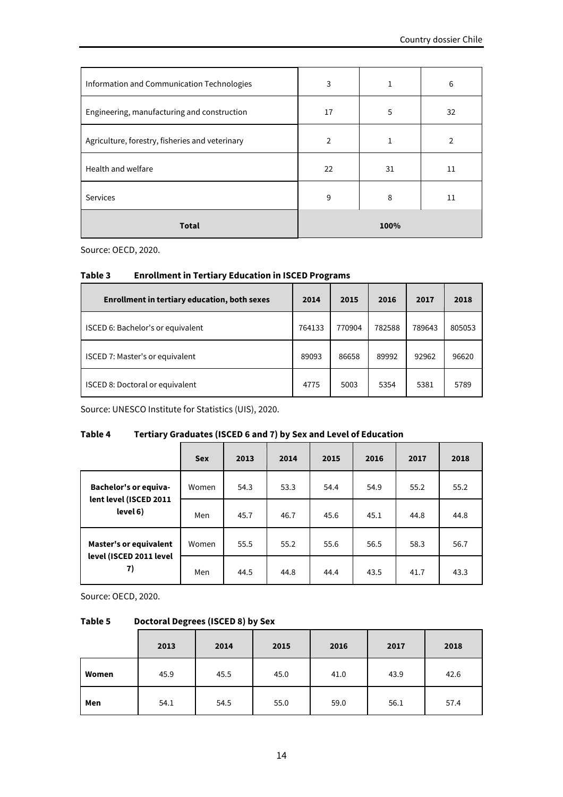| Information and Communication Technologies      | 3  | 1    | 6  |
|-------------------------------------------------|----|------|----|
| Engineering, manufacturing and construction     | 17 | 5    | 32 |
| Agriculture, forestry, fisheries and veterinary | 2  | 1    | 2  |
| Health and welfare                              | 22 | 31   | 11 |
| Services                                        | 9  | 8    | 11 |
| <b>Total</b>                                    |    | 100% |    |

Source: OECD, 2020.

#### **Table 3 Enrollment in Tertiary Education in ISCED Programs**

| <b>Enrollment in tertiary education, both sexes</b> | 2014   | 2015   | 2016   | 2017   | 2018   |
|-----------------------------------------------------|--------|--------|--------|--------|--------|
| ISCED 6: Bachelor's or equivalent                   | 764133 | 770904 | 782588 | 789643 | 805053 |
| <b>ISCED 7: Master's or equivalent</b>              | 89093  | 86658  | 89992  | 92962  | 96620  |
| ISCED 8: Doctoral or equivalent                     | 4775   | 5003   | 5354   | 5381   | 5789   |

Source: UNESCO Institute for Statistics (UIS), 2020.

#### **Table 4 Tertiary Graduates (ISCED 6 and 7) by Sex and Level of Education**

|                                                        | <b>Sex</b> | 2013 | 2014 | 2015 | 2016 | 2017 | 2018 |
|--------------------------------------------------------|------------|------|------|------|------|------|------|
| <b>Bachelor's or equiva-</b><br>lent level (ISCED 2011 | Women      | 54.3 | 53.3 | 54.4 | 54.9 | 55.2 | 55.2 |
| level 6)                                               | Men        | 45.7 | 46.7 | 45.6 | 45.1 | 44.8 | 44.8 |
| <b>Master's or equivalent</b>                          | Women      | 55.5 | 55.2 | 55.6 | 56.5 | 58.3 | 56.7 |
| level (ISCED 2011 level<br>7)                          | Men        | 44.5 | 44.8 | 44.4 | 43.5 | 41.7 | 43.3 |

Source: OECD, 2020.

#### **Table 5 Doctoral Degrees (ISCED 8) by Sex**

|       | 2013 | 2014 | 2015 | 2016 | 2017 | 2018 |
|-------|------|------|------|------|------|------|
| Women | 45.9 | 45.5 | 45.0 | 41.0 | 43.9 | 42.6 |
| Men   | 54.1 | 54.5 | 55.0 | 59.0 | 56.1 | 57.4 |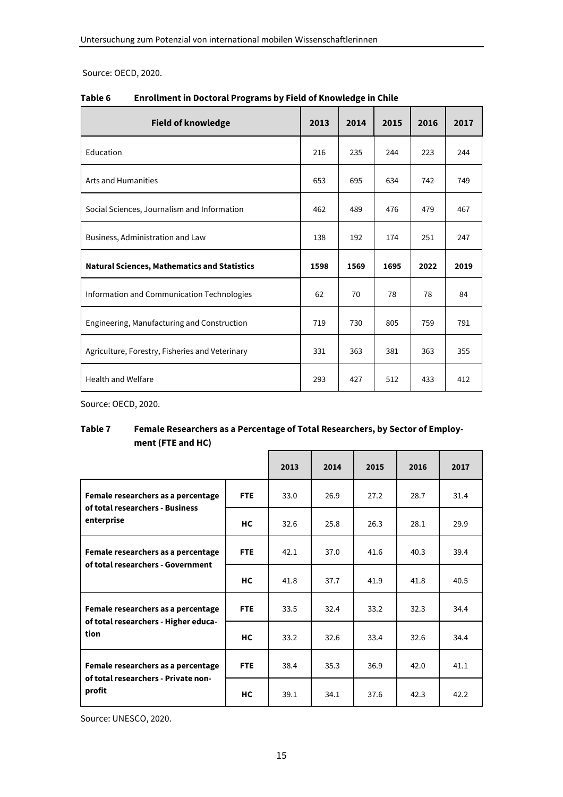Source: OECD, 2020.

| <b>Field of knowledge</b>                           | 2013 | 2014 | 2015 | 2016 | 2017 |
|-----------------------------------------------------|------|------|------|------|------|
| Education                                           | 216  | 235  | 244  | 223  | 244  |
| <b>Arts and Humanities</b>                          | 653  | 695  | 634  | 742  | 749  |
| Social Sciences, Journalism and Information         | 462  | 489  | 476  | 479  | 467  |
| Business, Administration and Law                    | 138  | 192  | 174  | 251  | 247  |
| <b>Natural Sciences, Mathematics and Statistics</b> | 1598 | 1569 | 1695 | 2022 | 2019 |
| Information and Communication Technologies          | 62   | 70   | 78   | 78   | 84   |
| Engineering, Manufacturing and Construction         | 719  | 730  | 805  | 759  | 791  |
| Agriculture, Forestry, Fisheries and Veterinary     | 331  | 363  | 381  | 363  | 355  |
| Health and Welfare                                  | 293  | 427  | 512  | 433  | 412  |

**Table 6 Enrollment in Doctoral Programs by Field of Knowledge in Chile** 

Source: OECD, 2020.

#### **Table 7 Female Researchers as a Percentage of Total Researchers, by Sector of Employment (FTE and HC)**

|                                                                       |                     | 2013 | 2014 | 2015                                                                                                         | 2016 | 2017 |
|-----------------------------------------------------------------------|---------------------|------|------|--------------------------------------------------------------------------------------------------------------|------|------|
| Female researchers as a percentage<br>of total researchers - Business | <b>FTE</b>          | 33.0 | 26.9 | 27.2                                                                                                         | 28.7 | 31.4 |
| enterprise                                                            | НC                  | 32.6 | 25.8 | 28.1<br>26.3<br>41.6<br>40.3<br>41.9<br>41.8<br>33.2<br>32.3<br>33.4<br>32.6<br>36.9<br>42.0<br>37.6<br>42.3 | 29.9 |      |
| Female researchers as a percentage                                    | <b>FTE</b>          | 42.1 | 37.0 |                                                                                                              |      | 39.4 |
| of total researchers - Government                                     | HC.<br>41.8<br>37.7 | 40.5 |      |                                                                                                              |      |      |
| Female researchers as a percentage                                    | <b>FTE</b>          | 33.5 | 32.4 |                                                                                                              |      | 34.4 |
| of total researchers - Higher educa-<br>tion                          | НC                  | 33.2 | 32.6 |                                                                                                              |      | 34.4 |
| Female researchers as a percentage                                    | <b>FTE</b>          | 38.4 | 35.3 |                                                                                                              |      | 41.1 |
| of total researchers - Private non-<br>profit                         | НC                  | 39.1 | 34.1 |                                                                                                              |      | 42.2 |

Source: UNESCO, 2020.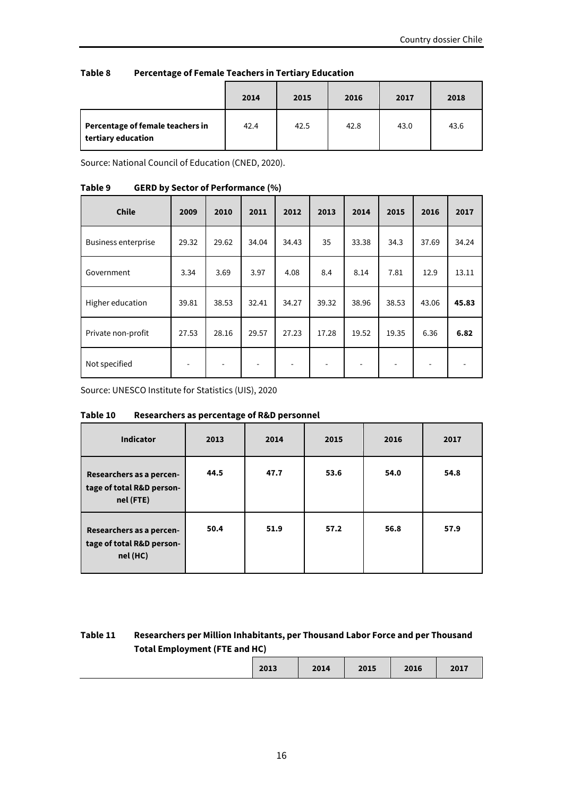| Table 8 | <b>Percentage of Female Teachers in Tertiary Education</b> |
|---------|------------------------------------------------------------|
|---------|------------------------------------------------------------|

|                                                        | 2014 | 2015 | 2016 | 2017 | 2018 |
|--------------------------------------------------------|------|------|------|------|------|
| Percentage of female teachers in<br>tertiary education | 42.4 | 42.5 | 42.8 | 43.0 | 43.6 |

Source: National Council of Education (CNED, 2020).

#### **Table 9 GERD by Sector of Performance (%)**

| <b>Chile</b>               | 2009  | 2010                     | 2011                     | 2012                     | 2013                     | 2014  | 2015  | 2016  | 2017                     |
|----------------------------|-------|--------------------------|--------------------------|--------------------------|--------------------------|-------|-------|-------|--------------------------|
| <b>Business enterprise</b> | 29.32 | 29.62                    | 34.04                    | 34.43                    | 35                       | 33.38 | 34.3  | 37.69 | 34.24                    |
| Government                 | 3.34  | 3.69                     | 3.97                     | 4.08                     | 8.4                      | 8.14  | 7.81  | 12.9  | 13.11                    |
| Higher education           | 39.81 | 38.53                    | 32.41                    | 34.27                    | 39.32                    | 38.96 | 38.53 | 43.06 | 45.83                    |
| Private non-profit         | 27.53 | 28.16                    | 29.57                    | 27.23                    | 17.28                    | 19.52 | 19.35 | 6.36  | 6.82                     |
| Not specified              | ۰     | $\overline{\phantom{a}}$ | $\overline{\phantom{a}}$ | $\overline{\phantom{a}}$ | $\overline{\phantom{a}}$ |       | -     | ٠     | $\overline{\phantom{0}}$ |

Source: UNESCO Institute for Statistics (UIS), 2020

| Table 10 | Researchers as percentage of R&D personnel |
|----------|--------------------------------------------|
|          |                                            |

| <b>Indicator</b>                                                   | 2013 | 2014 | 2015 | 2016 | 2017 |
|--------------------------------------------------------------------|------|------|------|------|------|
| Researchers as a percen-<br>tage of total R&D person-<br>nel (FTE) | 44.5 | 47.7 | 53.6 | 54.0 | 54.8 |
| Researchers as a percen-<br>tage of total R&D person-<br>nel (HC)  | 50.4 | 51.9 | 57.2 | 56.8 | 57.9 |

#### **Table 11 Researchers per Million Inhabitants, per Thousand Labor Force and per Thousand Total Employment (FTE and HC)**

|  |  | 2013 | 2014 | 2015 | 2016 | 2017 |
|--|--|------|------|------|------|------|
|--|--|------|------|------|------|------|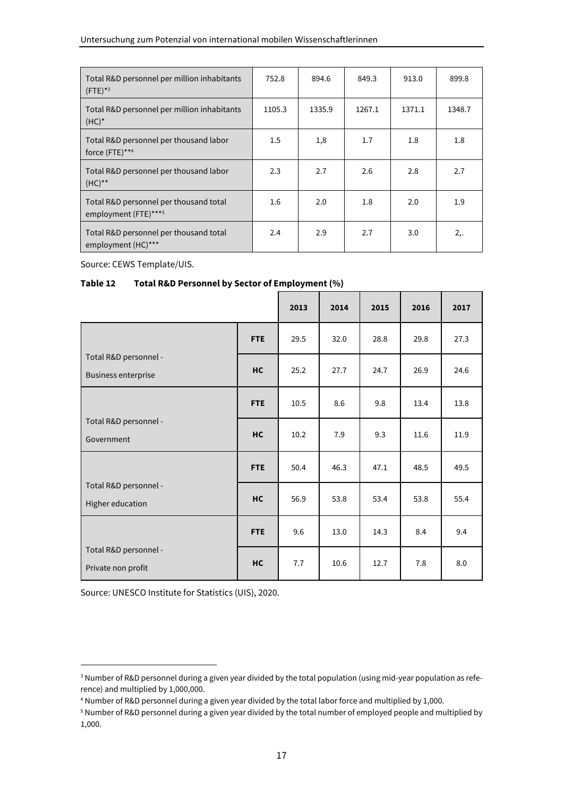| Total R&D personnel per million inhabitants<br>$(FTE)^{*3}$    | 752.8   | 894.6  | 849.3  | 913.0  | 899.8  |
|----------------------------------------------------------------|---------|--------|--------|--------|--------|
| Total R&D personnel per million inhabitants<br>$(HC)^*$        | 1105.3  | 1335.9 | 1267.1 | 1371.1 | 1348.7 |
| Total R&D personnel per thousand labor<br>force (FTE)**4       | 1.5     | 1,8    | 1.7    | 1.8    | 1.8    |
| Total R&D personnel per thousand labor<br>$(HC)$ **            | 2.3     | 2.7    | 2.6    | 2.8    | 2.7    |
| Total R&D personnel per thousand total<br>employment (FTE)***5 | $1.6\,$ | 2.0    | 1.8    | 2.0    | 1.9    |
| Total R&D personnel per thousand total<br>employment (HC)***   | 2.4     | 2.9    | 2.7    | 3.0    | 2,     |

Source: CEWS Template/UIS.

#### **Table 12 Total R&D Personnel by Sector of Employment (%)**

|                                                     |            | 2013 | 2014               | 2015 | 2016 | 2017 |
|-----------------------------------------------------|------------|------|--------------------|------|------|------|
|                                                     | <b>FTE</b> | 29.5 | 32.0               | 28.8 | 29.8 | 27.3 |
| Total R&D personnel -<br><b>Business enterprise</b> | <b>HC</b>  | 25.2 | 27.7               | 24.7 | 26.9 | 24.6 |
|                                                     | <b>FTE</b> | 10.5 | 8.6                | 9.8  | 13.4 | 13.8 |
| Total R&D personnel -<br>Government                 | <b>HC</b>  | 10.2 | 9.3<br>7.9<br>11.6 | 11.9 |      |      |
|                                                     | <b>FTE</b> | 50.4 | 46.3               | 47.1 | 48.5 | 49.5 |
| Total R&D personnel -<br>Higher education           | <b>HC</b>  | 56.9 | 53.8               | 53.4 | 53.8 | 55.4 |
|                                                     | <b>FTE</b> | 9.6  | 13.0               | 14.3 | 8.4  | 9.4  |
| Total R&D personnel -<br>Private non profit         | <b>HC</b>  | 7.7  | 10.6               | 12.7 | 7.8  | 8.0  |

Source: UNESCO Institute for Statistics (UIS), 2020.

<sup>3</sup> Number of R&D personnel during a given year divided by the total population (using mid-year population as reference) and multiplied by 1,000,000.

<sup>4</sup> Number of R&D personnel during a given year divided by the total labor force and multiplied by 1,000.

<sup>5</sup> Number of R&D personnel during a given year divided by the total number of employed people and multiplied by 1,000.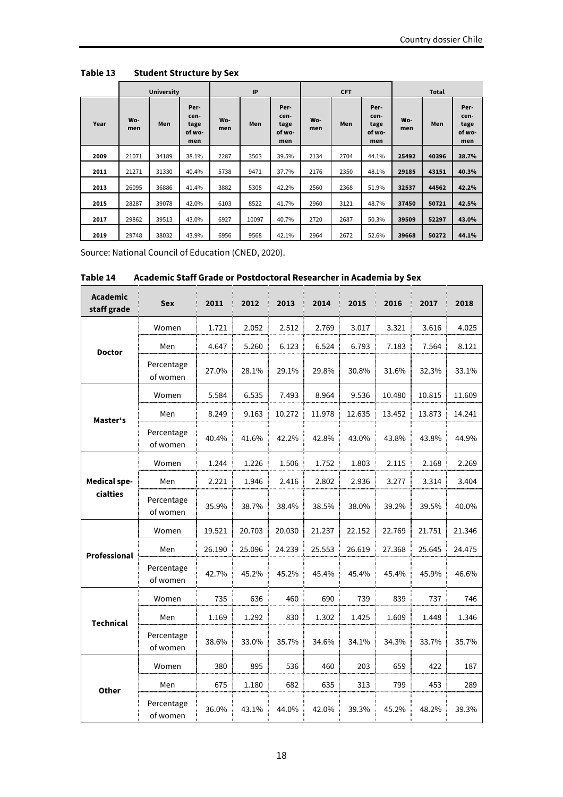|      |            | <b>University</b> |                                       |            | IP    |                                       |            | <b>CFT</b> |                                       |            | <b>Total</b> |                                       |
|------|------------|-------------------|---------------------------------------|------------|-------|---------------------------------------|------------|------------|---------------------------------------|------------|--------------|---------------------------------------|
| Year | Wo-<br>men | Men               | Per-<br>cen-<br>tage<br>of wo-<br>men | Wo-<br>men | Men   | Per-<br>cen-<br>tage<br>of wo-<br>men | Wo-<br>men | Men        | Per-<br>cen-<br>tage<br>of wo-<br>men | Wo-<br>men | Men          | Per-<br>cen-<br>tage<br>of wo-<br>men |
| 2009 | 21071      | 34189             | 38.1%                                 | 2287       | 3503  | 39.5%                                 | 2134       | 2704       | 44.1%                                 | 25492      | 40396        | 38.7%                                 |
| 2011 | 21271      | 31330             | 40.4%                                 | 5738       | 9471  | 37.7%                                 | 2176       | 2350       | 48.1%                                 | 29185      | 43151        | 40.3%                                 |
| 2013 | 26095      | 36886             | 41.4%                                 | 3882       | 5308  | 42.2%                                 | 2560       | 2368       | 51.9%                                 | 32537      | 44562        | 42.2%                                 |
| 2015 | 28287      | 39078             | 42.0%                                 | 6103       | 8522  | 41.7%                                 | 2960       | 3121       | 48.7%                                 | 37450      | 50721        | 42.5%                                 |
| 2017 | 29862      | 39513             | 43.0%                                 | 6927       | 10097 | 40.7%                                 | 2720       | 2687       | 50.3%                                 | 39509      | 52297        | 43.0%                                 |
| 2019 | 29748      | 38032             | 43.9%                                 | 6956       | 9568  | 42.1%                                 | 2964       | 2672       | 52.6%                                 | 39668      | 50272        | 44.1%                                 |

Table 13 **Student Structure by Sex** 

Source: National Council of Education (CNED, 2020).

| <b>Academic</b><br>staff grade | <b>Sex</b>             | 2011   | 2012   | 2013   | 2014   | 2015   | 2016   | 2017   | 2018   |
|--------------------------------|------------------------|--------|--------|--------|--------|--------|--------|--------|--------|
|                                | Women                  | 1.721  | 2.052  | 2.512  | 2.769  | 3.017  | 3.321  | 3.616  | 4.025  |
| <b>Doctor</b>                  | Men                    | 4.647  | 5.260  | 6.123  | 6.524  | 6.793  | 7.183  | 7.564  | 8.121  |
|                                | Percentage<br>of women | 27.0%  | 28.1%  | 29.1%  | 29.8%  | 30.8%  | 31.6%  | 32.3%  | 33.1%  |
|                                | Women                  | 5.584  | 6.535  | 7.493  | 8.964  | 9.536  | 10.480 | 10.815 | 11.609 |
| Master's                       | Men                    | 8.249  | 9.163  | 10.272 | 11.978 | 12.635 | 13.452 | 13.873 | 14.241 |
|                                | Percentage<br>of women | 40.4%  | 41.6%  | 42.2%  | 42.8%  | 43.0%  | 43.8%  | 43.8%  | 44.9%  |
|                                | Women                  | 1.244  | 1.226  | 1.506  | 1.752  | 1.803  | 2.115  | 2.168  | 2.269  |
| <b>Medical spe-</b>            | Men                    | 2.221  | 1.946  | 2.416  | 2.802  | 2.936  | 3.277  | 3.314  | 3.404  |
| cialties                       | Percentage<br>of women | 35.9%  | 38.7%  | 38.4%  | 38.5%  | 38.0%  | 39.2%  | 39.5%  | 40.0%  |
|                                | Women                  | 19.521 | 20.703 | 20.030 | 21.237 | 22.152 | 22.769 | 21.751 | 21.346 |
| Professional                   | Men                    | 26.190 | 25.096 | 24.239 | 25.553 | 26.619 | 27.368 | 25.645 | 24.475 |
|                                | Percentage<br>of women | 42.7%  | 45.2%  | 45.2%  | 45.4%  | 45.4%  | 45.4%  | 45.9%  | 46.6%  |
|                                | Women                  | 735    | 636    | 460    | 690    | 739    | 839    | 737    | 746    |
| <b>Technical</b>               | Men                    | 1.169  | 1.292  | 830    | 1.302  | 1.425  | 1.609  | 1.448  | 1.346  |
|                                | Percentage<br>of women | 38.6%  | 33.0%  | 35.7%  | 34.6%  | 34.1%  | 34.3%  | 33.7%  | 35.7%  |
|                                | Women                  | 380    | 895    | 536    | 460    | 203    | 659    | 422    | 187    |
| <b>Other</b>                   | Men                    | 675    | 1.180  | 682    | 635    | 313    | 799    | 453    | 289    |
|                                | Percentage<br>of women | 36.0%  | 43.1%  | 44.0%  | 42.0%  | 39.3%  | 45.2%  | 48.2%  | 39.3%  |

**Table 14 Academic Staff Grade or Postdoctoral Researcher in Academia by Sex**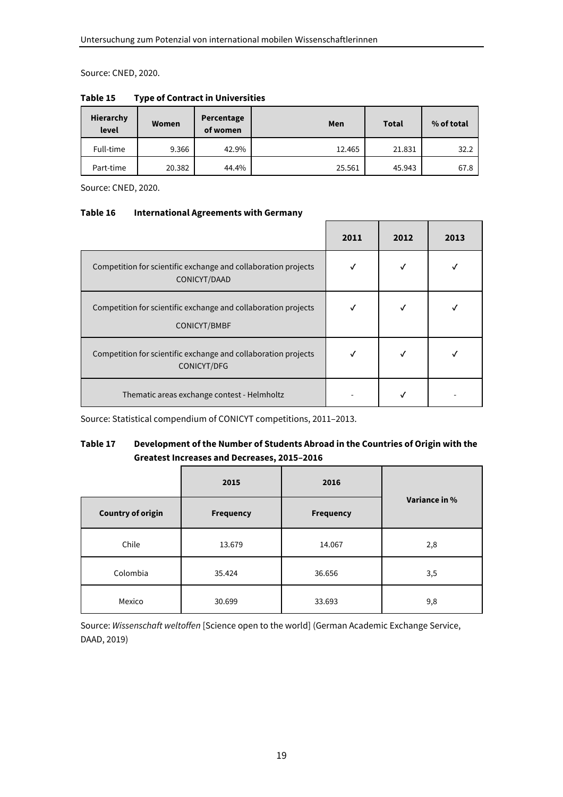Source: CNED, 2020.

| Hierarchy<br>level | Women  | Percentage<br>of women | Men    | Total  | % of total |
|--------------------|--------|------------------------|--------|--------|------------|
| Full-time          | 9.366  | 42.9%                  | 12.465 | 21.831 | 32.2       |
| Part-time          | 20.382 | 44.4%                  | 25.561 | 45.943 | 67.8       |

**Table 15 Type of Contract in Universities** 

Source: CNED, 2020.

#### **Table 16 International Agreements with Germany**

|                                                                                | 2011 | 2012 | 2013 |
|--------------------------------------------------------------------------------|------|------|------|
| Competition for scientific exchange and collaboration projects<br>CONICYT/DAAD |      |      |      |
| Competition for scientific exchange and collaboration projects<br>CONICYT/BMBF | √    |      |      |
| Competition for scientific exchange and collaboration projects<br>CONICYT/DFG  |      |      |      |
| Thematic areas exchange contest - Helmholtz                                    |      |      |      |

Source: Statistical compendium of CONICYT competitions, 2011–2013.

#### **Table 17 Development of the Number of Students Abroad in the Countries of Origin with the Greatest Increases and Decreases, 2015–2016**

|                          | 2015             | 2016             |               |  |
|--------------------------|------------------|------------------|---------------|--|
| <b>Country of origin</b> | <b>Frequency</b> | <b>Frequency</b> | Variance in % |  |
| Chile                    | 13.679           | 14.067           | 2,8           |  |
| Colombia                 | 35.424           | 36.656           | 3,5           |  |
| Mexico                   | 30.699           | 33.693           | 9,8           |  |

Source: *Wissenschaft weltoffen* [Science open to the world] (German Academic Exchange Service, DAAD, 2019)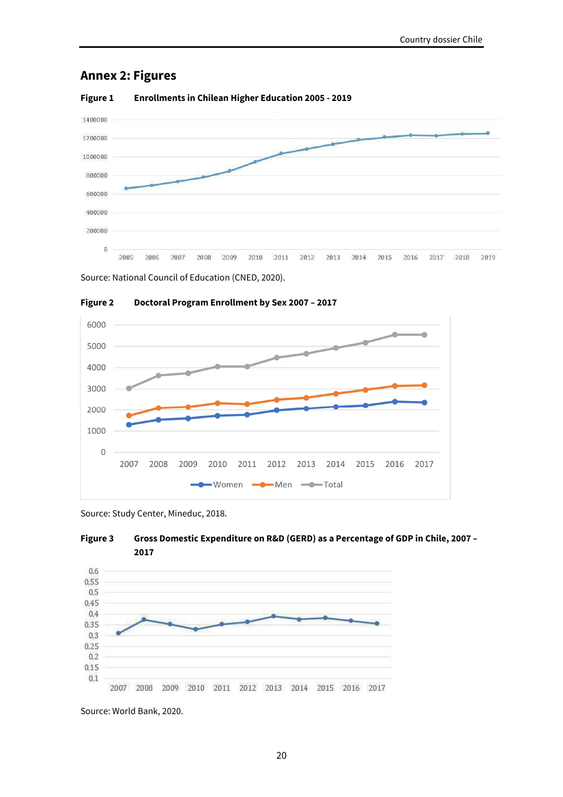### **Annex 2: Figures**



#### **Figure 1 Enrollments in Chilean Higher Education 2005 - 2019**

Source: National Council of Education (CNED, 2020).



**Figure 2 Doctoral Program Enrollment by Sex 2007 – 2017** 

Source: Study Center, Mineduc, 2018.





Source: World Bank, 2020.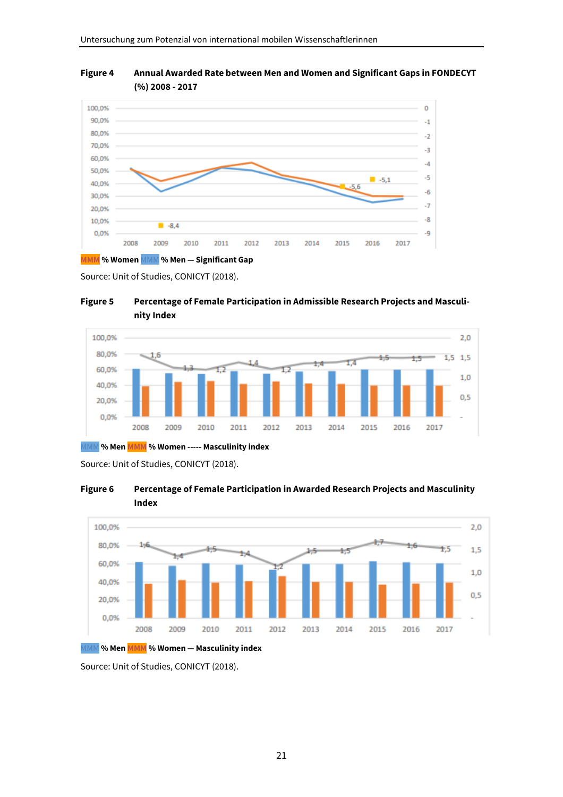

**Figure 4 Annual Awarded Rate between Men and Women and Significant Gaps in FONDECYT (%) 2008 - 2017** 

Source: Unit of Studies, CONICYT (2018).

**Figure 5 Percentage of Female Participation in Admissible Research Projects and Masculinity Index** 



MMM **% Men MMM % Women ----- Masculinity index** 

Source: Unit of Studies, CONICYT (2018).





MMM **% Men MMM % Women — Masculinity index** 

Source: Unit of Studies, CONICYT (2018).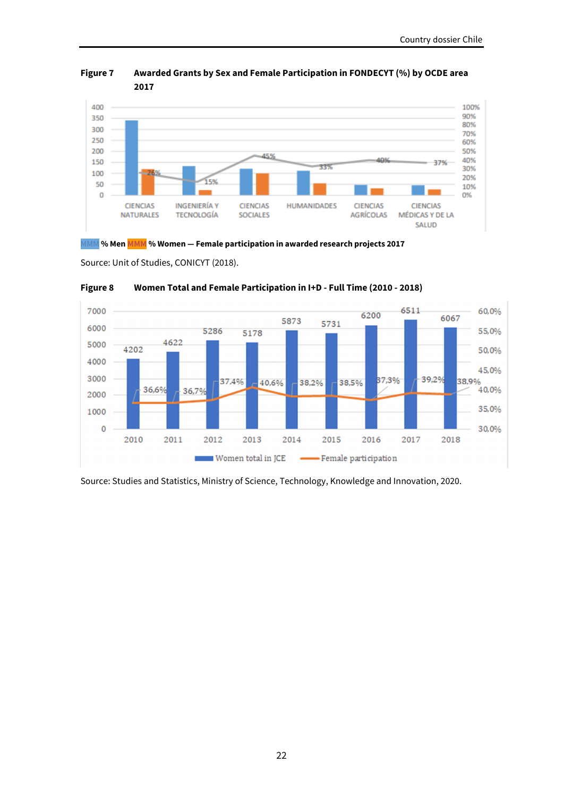

**Figure 7 Awarded Grants by Sex and Female Participation in FONDECYT (%) by OCDE area 2017** 

MMM **% Men MMM % Women — Female participation in awarded research projects 2017** 

Source: Unit of Studies, CONICYT (2018).



#### **Figure 8 Women Total and Female Participation in I+D - Full Time (2010 - 2018)**

Source: Studies and Statistics, Ministry of Science, Technology, Knowledge and Innovation, 2020.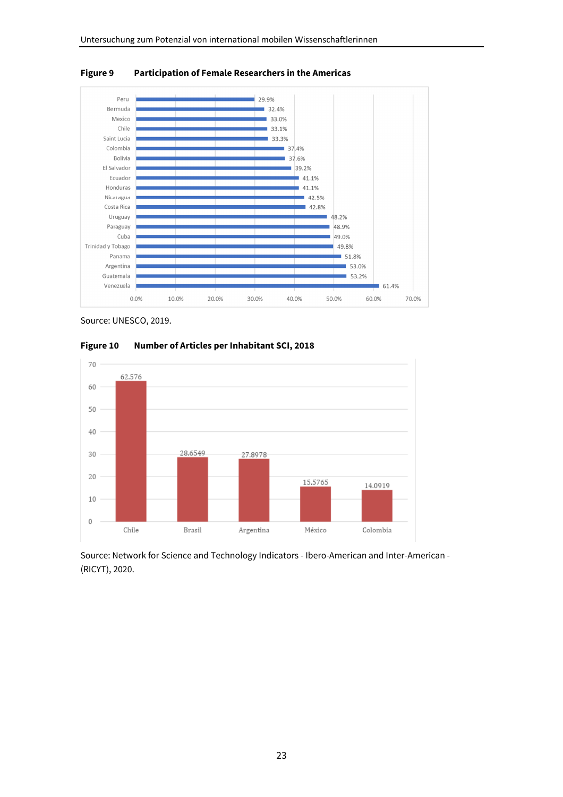

**Figure 9 Participation of Female Researchers in the Americas** 

Source: UNESCO, 2019.



**Figure 10 Number of Articles per Inhabitant SCI, 2018** 

Source: Network for Science and Technology Indicators - Ibero-American and Inter-American - (RICYT), 2020.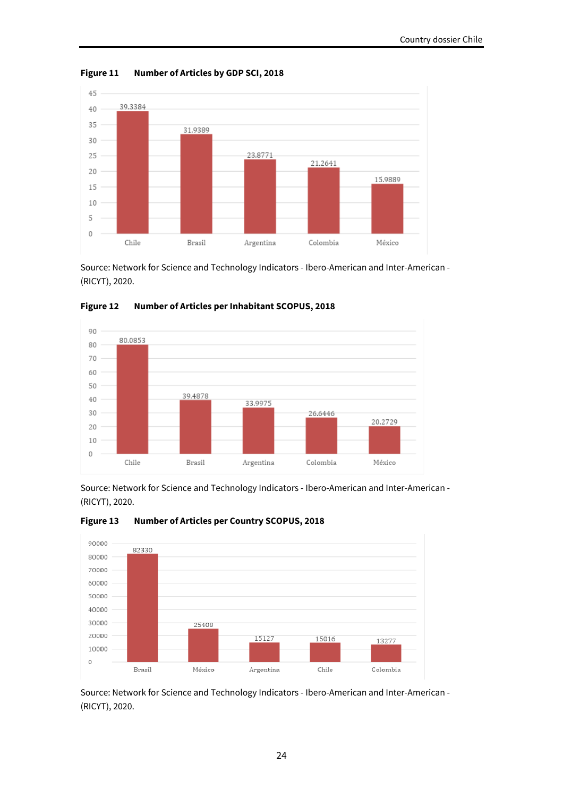

**Figure 11 Number of Articles by GDP SCI, 2018** 

Source: Network for Science and Technology Indicators - Ibero-American and Inter-American - (RICYT), 2020.



**Figure 12 Number of Articles per Inhabitant SCOPUS, 2018** 

Source: Network for Science and Technology Indicators - Ibero-American and Inter-American - (RICYT), 2020.



**Figure 13 Number of Articles per Country SCOPUS, 2018** 



Source: Network for Science and Technology Indicators - Ibero-American and Inter-American - (RICYT), 2020.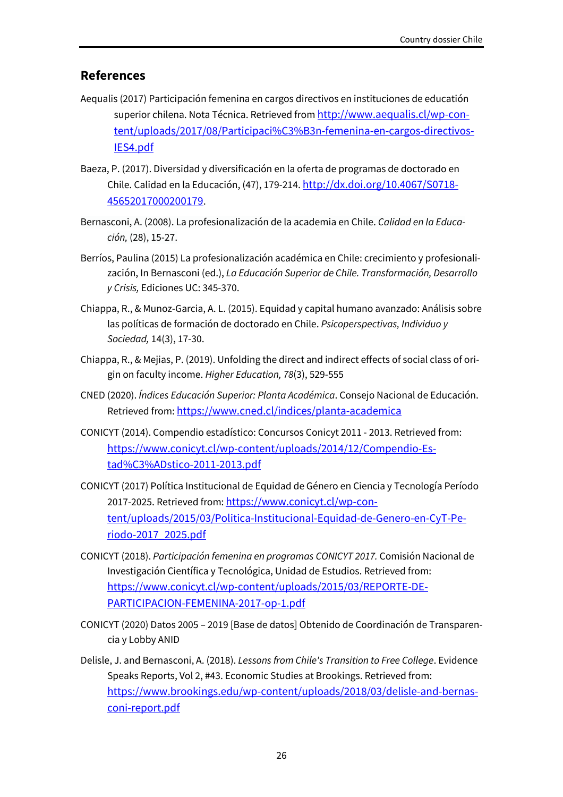### **References**

- Aequalis (2017) Participación femenina en cargos directivos en instituciones de educatión superior chilena. Nota Técnica. Retrieved from http://www.aequalis.cl/wp-content/uploads/2017/08/Participaci%C3%B3n-femenina-en-cargos-directivos-IES4.pdf
- Baeza, P. (2017). Diversidad y diversificación en la oferta de programas de doctorado en Chile. Calidad en la Educación, (47), 179-214. http://dx.doi.org/10.4067/S0718- 45652017000200179.
- Bernasconi, A. (2008). La profesionalización de la academia en Chile. *Calidad en la Educación,* (28), 15-27.
- Berríos, Paulina (2015) La profesionalización académica en Chile: crecimiento y profesionalización, In Bernasconi (ed.), *La Educación Superior de Chile. Transformación, Desarrollo y Crisis,* Ediciones UC: 345-370.
- Chiappa, R., & Munoz-Garcia, A. L. (2015). Equidad y capital humano avanzado: Análisis sobre las políticas de formación de doctorado en Chile. *Psicoperspectivas, Individuo y Sociedad,* 14(3), 17-30.
- Chiappa, R., & Mejias, P. (2019). Unfolding the direct and indirect effects of social class of origin on faculty income. *Higher Education, 78*(3), 529-555
- CNED (2020). *Índices Educación Superior: Planta Académica*. Consejo Nacional de Educación. Retrieved from: https://www.cned.cl/indices/planta-academica
- CONICYT (2014). Compendio estadístico: Concursos Conicyt 2011 2013. Retrieved from: https://www.conicyt.cl/wp-content/uploads/2014/12/Compendio-Estad%C3%ADstico-2011-2013.pdf
- CONICYT (2017) Política Institucional de Equidad de Género en Ciencia y Tecnología Período 2017-2025. Retrieved from: https://www.conicyt.cl/wp-content/uploads/2015/03/Politica-Institucional-Equidad-de-Genero-en-CyT-Periodo-2017\_2025.pdf
- CONICYT (2018). *Participación femenina en programas CONICYT 2017.* Comisión Nacional de Investigación Científica y Tecnológica, Unidad de Estudios. Retrieved from: https://www.conicyt.cl/wp-content/uploads/2015/03/REPORTE-DE-PARTICIPACION-FEMENINA-2017-op-1.pdf
- CONICYT (2020) Datos 2005 2019 [Base de datos] Obtenido de Coordinación de Transparencia y Lobby ANID
- Delisle, J. and Bernasconi, A. (2018). *Lessons from Chile's Transition to Free College*. Evidence Speaks Reports, Vol 2, #43. Economic Studies at Brookings. Retrieved from: https://www.brookings.edu/wp-content/uploads/2018/03/delisle-and-bernasconi-report.pdf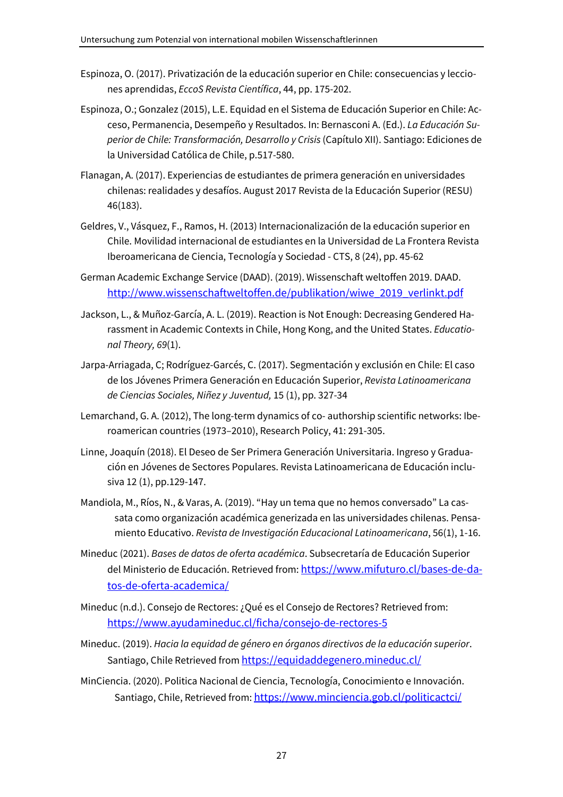- Espinoza, O. (2017). Privatización de la educación superior en Chile: consecuencias y lecciones aprendidas, *EccoS Revista Científica*, 44, pp. 175-202.
- Espinoza, O.; Gonzalez (2015), L.E. Equidad en el Sistema de Educación Superior en Chile: Acceso, Permanencia, Desempeño y Resultados. In: Bernasconi A. (Ed.). *La Educación Superior de Chile: Transformación, Desarrollo y Crisis* (Capítulo XII). Santiago: Ediciones de la Universidad Católica de Chile, p.517-580.
- Flanagan, A. (2017). Experiencias de estudiantes de primera generación en universidades chilenas: realidades y desafíos. August 2017 Revista de la Educación Superior (RESU) 46(183).
- Geldres, V., Vásquez, F., Ramos, H. (2013) Internacionalización de la educación superior en Chile. Movilidad internacional de estudiantes en la Universidad de La Frontera Revista Iberoamericana de Ciencia, Tecnología y Sociedad - CTS, 8 (24), pp. 45-62
- German Academic Exchange Service (DAAD). (2019). Wissenschaft weltoffen 2019. DAAD. http://www.wissenschaftweltoffen.de/publikation/wiwe\_2019\_verlinkt.pdf
- Jackson, L., & Muñoz-García, A. L. (2019). Reaction is Not Enough: Decreasing Gendered Harassment in Academic Contexts in Chile, Hong Kong, and the United States. *Educational Theory, 69*(1).
- Jarpa-Arriagada, C; Rodríguez-Garcés, C. (2017). Segmentación y exclusión en Chile: El caso de los Jóvenes Primera Generación en Educación Superior, *Revista Latinoamericana de Ciencias Sociales, Niñez y Juventud,* 15 (1), pp. 327-34
- Lemarchand, G. A. (2012), The long-term dynamics of co- authorship scientific networks: Iberoamerican countries (1973–2010), Research Policy, 41: 291-305.
- Linne, Joaquín (2018). El Deseo de Ser Primera Generación Universitaria. Ingreso y Graduación en Jóvenes de Sectores Populares. Revista Latinoamericana de Educación inclusiva 12 (1), pp.129-147.
- Mandiola, M., Ríos, N., & Varas, A. (2019). "Hay un tema que no hemos conversado" La cassata como organización académica generizada en las universidades chilenas. Pensamiento Educativo. *Revista de Investigación Educacional Latinoamericana*, 56(1), 1-16.
- Mineduc (2021). *Bases de datos de oferta académica*. Subsecretaría de Educación Superior del Ministerio de Educación. Retrieved from: https://www.mifuturo.cl/bases-de-datos-de-oferta-academica/
- Mineduc (n.d.). Consejo de Rectores: ¿Qué es el Consejo de Rectores? Retrieved from: https://www.ayudamineduc.cl/ficha/consejo-de-rectores-5
- Mineduc. (2019). *Hacia la equidad de género en órganos directivos de la educación superior*. Santiago, Chile Retrieved from https://equidaddegenero.mineduc.cl/
- MinCiencia. (2020). Politica Nacional de Ciencia, Tecnología, Conocimiento e Innovación. Santiago, Chile, Retrieved from: https://www.minciencia.gob.cl/politicactci/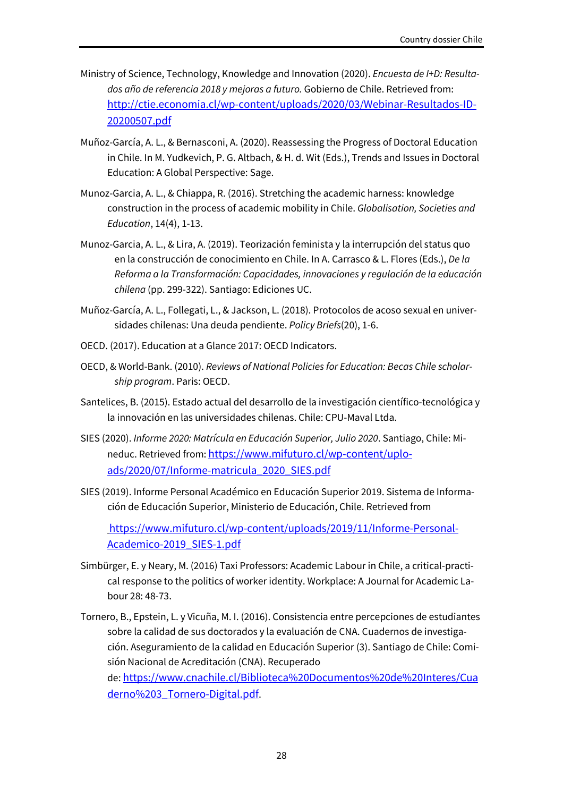- Ministry of Science, Technology, Knowledge and Innovation (2020). *Encuesta de I+D: Resultados año de referencia 2018 y mejoras a futuro.* Gobierno de Chile. Retrieved from: http://ctie.economia.cl/wp-content/uploads/2020/03/Webinar-Resultados-ID-20200507.pdf
- Muñoz-García, A. L., & Bernasconi, A. (2020). Reassessing the Progress of Doctoral Education in Chile. In M. Yudkevich, P. G. Altbach, & H. d. Wit (Eds.), Trends and Issues in Doctoral Education: A Global Perspective: Sage.
- Munoz-Garcia, A. L., & Chiappa, R. (2016). Stretching the academic harness: knowledge construction in the process of academic mobility in Chile. *Globalisation, Societies and Education*, 14(4), 1-13.
- Munoz-Garcia, A. L., & Lira, A. (2019). Teorización feminista y la interrupción del status quo en la construcción de conocimiento en Chile. In A. Carrasco & L. Flores (Eds.), *De la Reforma a la Transformación: Capacidades, innovaciones y regulación de la educación chilena* (pp. 299-322). Santiago: Ediciones UC.
- Muñoz-García, A. L., Follegati, L., & Jackson, L. (2018). Protocolos de acoso sexual en universidades chilenas: Una deuda pendiente. *Policy Briefs*(20), 1-6.
- OECD. (2017). Education at a Glance 2017: OECD Indicators.
- OECD, & World-Bank. (2010). *Reviews of National Policies for Education: Becas Chile scholarship program*. Paris: OECD.
- Santelices, B. (2015). Estado actual del desarrollo de la investigación científico-tecnológica y la innovación en las universidades chilenas. Chile: CPU-Maval Ltda.
- SIES (2020). *Informe 2020: Matrícula en Educación Superior, Julio 2020*. Santiago, Chile: Mineduc. Retrieved from: https://www.mifuturo.cl/wp-content/uploads/2020/07/Informe-matricula\_2020\_SIES.pdf
- SIES (2019). Informe Personal Académico en Educación Superior 2019. Sistema de Información de Educación Superior, Ministerio de Educación, Chile. Retrieved from

https://www.mifuturo.cl/wp-content/uploads/2019/11/Informe-Personal-Academico-2019\_SIES-1.pdf

- Simbürger, E. y Neary, M. (2016) Taxi Professors: Academic Labour in Chile, a critical-practical response to the politics of worker identity. Workplace: A Journal for Academic Labour 28: 48-73.
- Tornero, B., Epstein, L. y Vicuña, M. I. (2016). Consistencia entre percepciones de estudiantes sobre la calidad de sus doctorados y la evaluación de CNA. Cuadernos de investigación. Aseguramiento de la calidad en Educación Superior (3). Santiago de Chile: Comisión Nacional de Acreditación (CNA). Recuperado de: https://www.cnachile.cl/Biblioteca%20Documentos%20de%20Interes/Cua derno%203\_Tornero-Digital.pdf.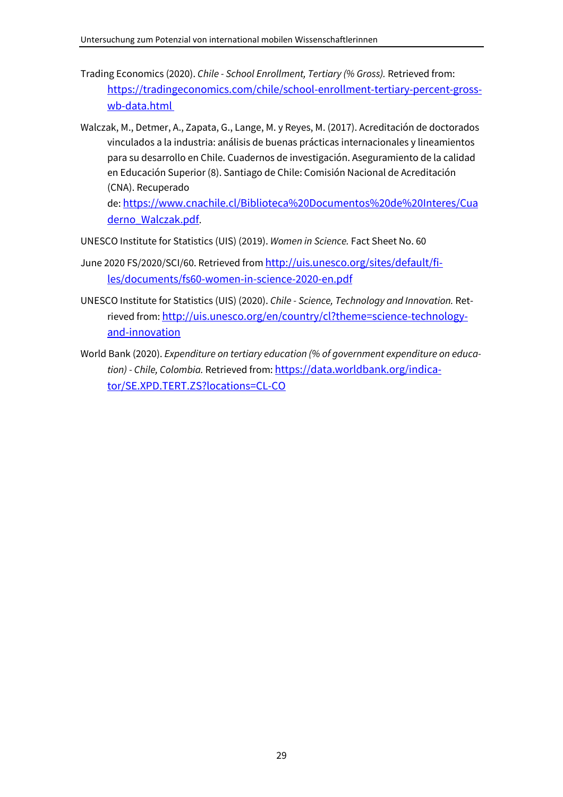- Trading Economics (2020). *Chile School Enrollment, Tertiary (% Gross).* Retrieved from: https://tradingeconomics.com/chile/school-enrollment-tertiary-percent-grosswb-data.html
- Walczak, M., Detmer, A., Zapata, G., Lange, M. y Reyes, M. (2017). Acreditación de doctorados vinculados a la industria: análisis de buenas prácticas internacionales y lineamientos para su desarrollo en Chile. Cuadernos de investigación. Aseguramiento de la calidad en Educación Superior (8). Santiago de Chile: Comisión Nacional de Acreditación (CNA). Recuperado

de: https://www.cnachile.cl/Biblioteca%20Documentos%20de%20Interes/Cua derno\_Walczak.pdf.

- UNESCO Institute for Statistics (UIS) (2019). *Women in Science.* Fact Sheet No. 60
- June 2020 FS/2020/SCI/60. Retrieved from http://uis.unesco.org/sites/default/files/documents/fs60-women-in-science-2020-en.pdf
- UNESCO Institute for Statistics (UIS) (2020). *Chile Science, Technology and Innovation.* Retrieved from: http://uis.unesco.org/en/country/cl?theme=science-technologyand-innovation
- World Bank (2020). *Expenditure on tertiary education (% of government expenditure on education) - Chile, Colombia.* Retrieved from: https://data.worldbank.org/indicator/SE.XPD.TERT.ZS?locations=CL-CO